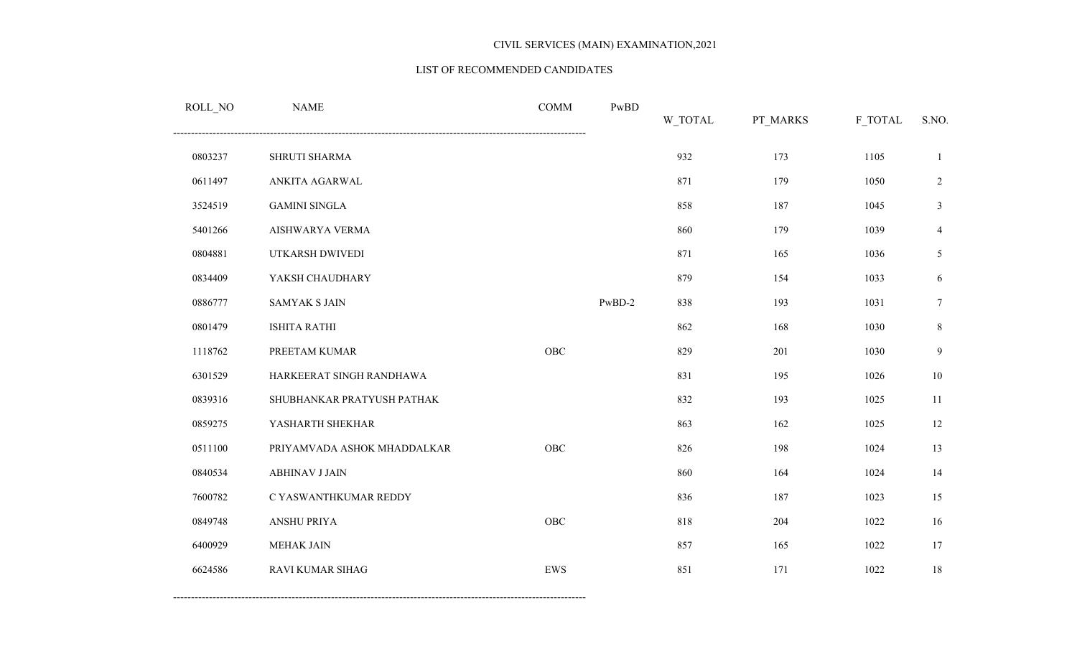#### LIST OF RECOMMENDED CANDIDATES

| ROLL_NO | <b>NAME</b>                 | <b>COMM</b> | PwBD     | W_TOTAL | PT_MARKS | F_TOTAL | S.NO.          |
|---------|-----------------------------|-------------|----------|---------|----------|---------|----------------|
| 0803237 | SHRUTI SHARMA               |             |          | 932     | 173      | 1105    | 1              |
| 0611497 | ANKITA AGARWAL              |             |          | 871     | 179      | 1050    | $\sqrt{2}$     |
| 3524519 | <b>GAMINI SINGLA</b>        |             |          | 858     | 187      | 1045    | $\mathfrak{Z}$ |
| 5401266 | AISHWARYA VERMA             |             |          | 860     | 179      | 1039    | $\overline{4}$ |
| 0804881 | UTKARSH DWIVEDI             |             |          | 871     | 165      | 1036    | $\mathfrak{H}$ |
| 0834409 | YAKSH CHAUDHARY             |             |          | 879     | 154      | 1033    | 6              |
| 0886777 | <b>SAMYAK S JAIN</b>        |             | $PwBD-2$ | 838     | 193      | 1031    | $\tau$         |
| 0801479 | <b>ISHITA RATHI</b>         |             |          | 862     | 168      | 1030    | $\,8\,$        |
| 1118762 | PREETAM KUMAR               | ${\rm OBC}$ |          | 829     | 201      | 1030    | $\overline{9}$ |
| 6301529 | HARKEERAT SINGH RANDHAWA    |             |          | 831     | 195      | 1026    | $10\,$         |
| 0839316 | SHUBHANKAR PRATYUSH PATHAK  |             |          | 832     | 193      | 1025    | 11             |
| 0859275 | YASHARTH SHEKHAR            |             |          | 863     | 162      | 1025    | 12             |
| 0511100 | PRIYAMVADA ASHOK MHADDALKAR | OBC         |          | 826     | 198      | 1024    | 13             |
| 0840534 | <b>ABHINAV J JAIN</b>       |             |          | 860     | 164      | 1024    | 14             |
| 7600782 | C YASWANTHKUMAR REDDY       |             |          | 836     | 187      | 1023    | 15             |
| 0849748 | <b>ANSHU PRIYA</b>          | OBC         |          | 818     | 204      | 1022    | 16             |
| 6400929 | MEHAK JAIN                  |             |          | 857     | 165      | 1022    | 17             |
| 6624586 | RAVI KUMAR SIHAG            | <b>EWS</b>  |          | 851     | 171      | 1022    | 18             |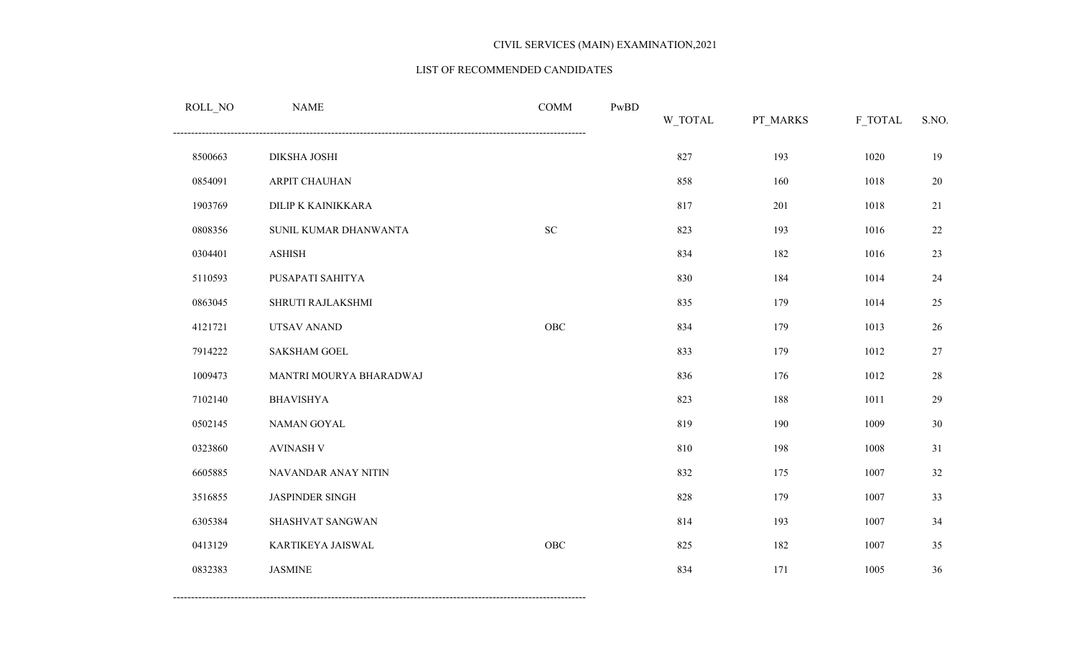#### LIST OF RECOMMENDED CANDIDATES

| ROLL_NO | <b>NAME</b>             | <b>COMM</b> | PwBD | W_TOTAL | PT_MARKS | F_TOTAL | S.NO. |
|---------|-------------------------|-------------|------|---------|----------|---------|-------|
| 8500663 | DIKSHA JOSHI            |             |      | 827     | 193      | 1020    | 19    |
| 0854091 | ARPIT CHAUHAN           |             |      | 858     | 160      | 1018    | 20    |
| 1903769 | DILIP K KAINIKKARA      |             |      | 817     | 201      | 1018    | 21    |
| 0808356 | SUNIL KUMAR DHANWANTA   | ${\rm SC}$  |      | 823     | 193      | 1016    | 22    |
| 0304401 | <b>ASHISH</b>           |             |      | 834     | 182      | 1016    | 23    |
| 5110593 | PUSAPATI SAHITYA        |             |      | 830     | 184      | 1014    | 24    |
| 0863045 | SHRUTI RAJLAKSHMI       |             |      | 835     | 179      | 1014    | 25    |
| 4121721 | UTSAV ANAND             | ${\rm OBC}$ |      | 834     | 179      | 1013    | 26    |
| 7914222 | <b>SAKSHAM GOEL</b>     |             |      | 833     | 179      | 1012    | 27    |
| 1009473 | MANTRI MOURYA BHARADWAJ |             |      | 836     | 176      | 1012    | 28    |
| 7102140 | <b>BHAVISHYA</b>        |             |      | 823     | 188      | 1011    | 29    |
| 0502145 | NAMAN GOYAL             |             |      | 819     | 190      | 1009    | 30    |
| 0323860 | <b>AVINASH V</b>        |             |      | 810     | 198      | 1008    | 31    |
| 6605885 | NAVANDAR ANAY NITIN     |             |      | 832     | 175      | 1007    | 32    |
| 3516855 | <b>JASPINDER SINGH</b>  |             |      | 828     | 179      | 1007    | 33    |
| 6305384 | SHASHVAT SANGWAN        |             |      | 814     | 193      | 1007    | 34    |
| 0413129 | KARTIKEYA JAISWAL       | ${\rm OBC}$ |      | 825     | 182      | 1007    | 35    |
| 0832383 | <b>JASMINE</b>          |             |      | 834     | 171      | 1005    | 36    |
|         |                         |             |      |         |          |         |       |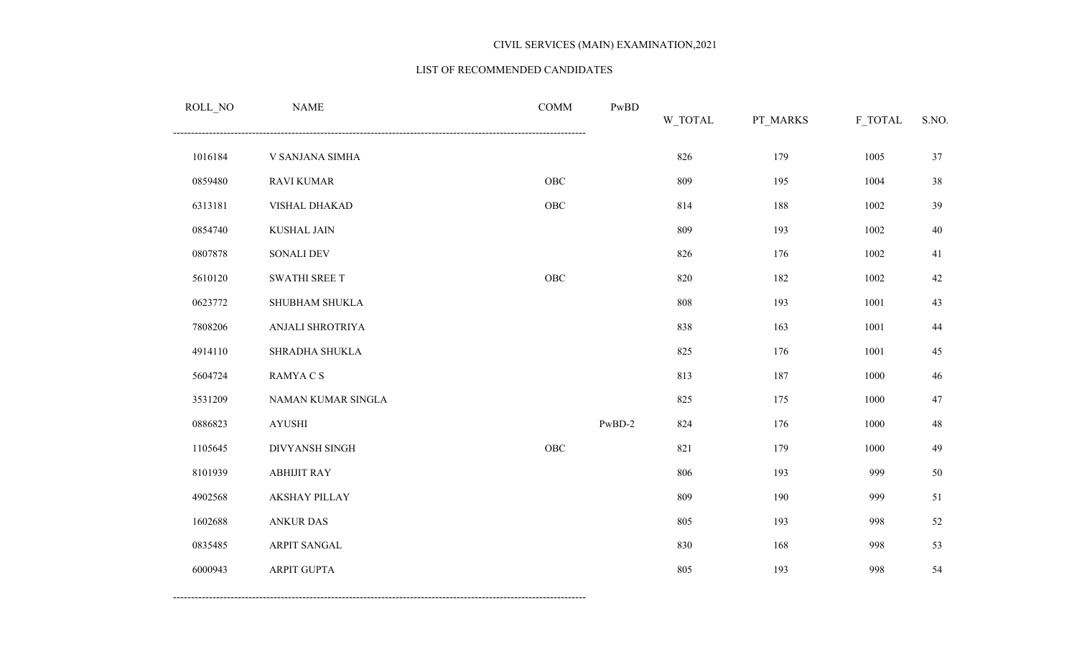#### LIST OF RECOMMENDED CANDIDATES

| ROLL_NO | <b>NAME</b>          | $\mathop{\mathrm{COMM}}$ | PwBD     | W_TOTAL | PT_MARKS | F_TOTAL | S.NO.  |
|---------|----------------------|--------------------------|----------|---------|----------|---------|--------|
| 1016184 | V SANJANA SIMHA      |                          |          | 826     | 179      | 1005    | 37     |
| 0859480 | <b>RAVI KUMAR</b>    | OBC                      |          | 809     | 195      | 1004    | 38     |
| 6313181 | VISHAL DHAKAD        | ${\rm OBC}$              |          | 814     | 188      | 1002    | 39     |
| 0854740 | <b>KUSHAL JAIN</b>   |                          |          | 809     | 193      | 1002    | $40\,$ |
| 0807878 | <b>SONALI DEV</b>    |                          |          | 826     | 176      | 1002    | 41     |
| 5610120 | SWATHI SREE T        | OBC                      |          | 820     | 182      | 1002    | $42\,$ |
| 0623772 | SHUBHAM SHUKLA       |                          |          | $808\,$ | 193      | 1001    | 43     |
| 7808206 | ANJALI SHROTRIYA     |                          |          | 838     | 163      | 1001    | 44     |
| 4914110 | SHRADHA SHUKLA       |                          |          | 825     | 176      | 1001    | 45     |
| 5604724 | RAMYA C S            |                          |          | 813     | 187      | 1000    | $46\,$ |
| 3531209 | NAMAN KUMAR SINGLA   |                          |          | 825     | 175      | 1000    | 47     |
| 0886823 | <b>AYUSHI</b>        |                          | $PwBD-2$ | 824     | 176      | 1000    | 48     |
| 1105645 | DIVYANSH SINGH       | ${\rm OBC}$              |          | 821     | 179      | 1000    | 49     |
| 8101939 | <b>ABHIJIT RAY</b>   |                          |          | 806     | 193      | 999     | 50     |
| 4902568 | <b>AKSHAY PILLAY</b> |                          |          | 809     | 190      | 999     | 51     |
| 1602688 | <b>ANKUR DAS</b>     |                          |          | 805     | 193      | 998     | 52     |
| 0835485 | ARPIT SANGAL         |                          |          | 830     | 168      | 998     | 53     |
| 6000943 | <b>ARPIT GUPTA</b>   |                          |          | 805     | 193      | 998     | 54     |
|         |                      |                          |          |         |          |         |        |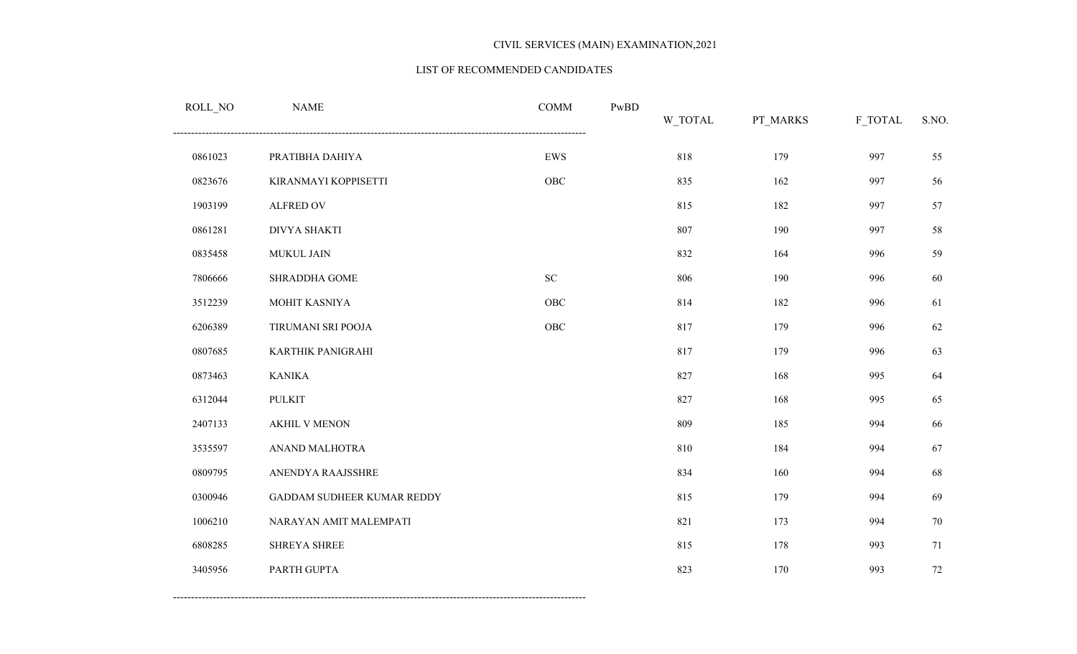#### LIST OF RECOMMENDED CANDIDATES

| ROLL_NO | <b>NAME</b>                       | <b>COMM</b> | PwBD | W_TOTAL | PT_MARKS | F_TOTAL | S.NO. |
|---------|-----------------------------------|-------------|------|---------|----------|---------|-------|
| 0861023 | PRATIBHA DAHIYA                   | ${\rm EWS}$ |      | 818     | 179      | 997     | 55    |
| 0823676 | KIRANMAYI KOPPISETTI              | ${\rm OBC}$ |      | 835     | 162      | 997     | 56    |
| 1903199 | ALFRED OV                         |             |      | 815     | 182      | 997     | 57    |
| 0861281 | <b>DIVYA SHAKTI</b>               |             |      | 807     | 190      | 997     | 58    |
| 0835458 | MUKUL JAIN                        |             |      | 832     | 164      | 996     | 59    |
| 7806666 | <b>SHRADDHA GOME</b>              | ${\rm SC}$  |      | 806     | 190      | 996     | 60    |
| 3512239 | MOHIT KASNIYA                     | ${\rm OBC}$ |      | 814     | 182      | 996     | 61    |
| 6206389 | TIRUMANI SRI POOJA                | ${\rm OBC}$ |      | 817     | 179      | 996     | 62    |
| 0807685 | KARTHIK PANIGRAHI                 |             |      | 817     | 179      | 996     | 63    |
| 0873463 | <b>KANIKA</b>                     |             |      | 827     | 168      | 995     | 64    |
| 6312044 | <b>PULKIT</b>                     |             |      | 827     | 168      | 995     | 65    |
| 2407133 | <b>AKHIL V MENON</b>              |             |      | 809     | 185      | 994     | 66    |
| 3535597 | ANAND MALHOTRA                    |             |      | 810     | 184      | 994     | 67    |
| 0809795 | ANENDYA RAAJSSHRE                 |             |      | 834     | 160      | 994     | 68    |
| 0300946 | <b>GADDAM SUDHEER KUMAR REDDY</b> |             |      | 815     | 179      | 994     | 69    |
| 1006210 | NARAYAN AMIT MALEMPATI            |             |      | 821     | 173      | 994     | 70    |
| 6808285 | <b>SHREYA SHREE</b>               |             |      | 815     | 178      | 993     | 71    |
| 3405956 | PARTH GUPTA                       |             |      | 823     | 170      | 993     | 72    |
|         |                                   |             |      |         |          |         |       |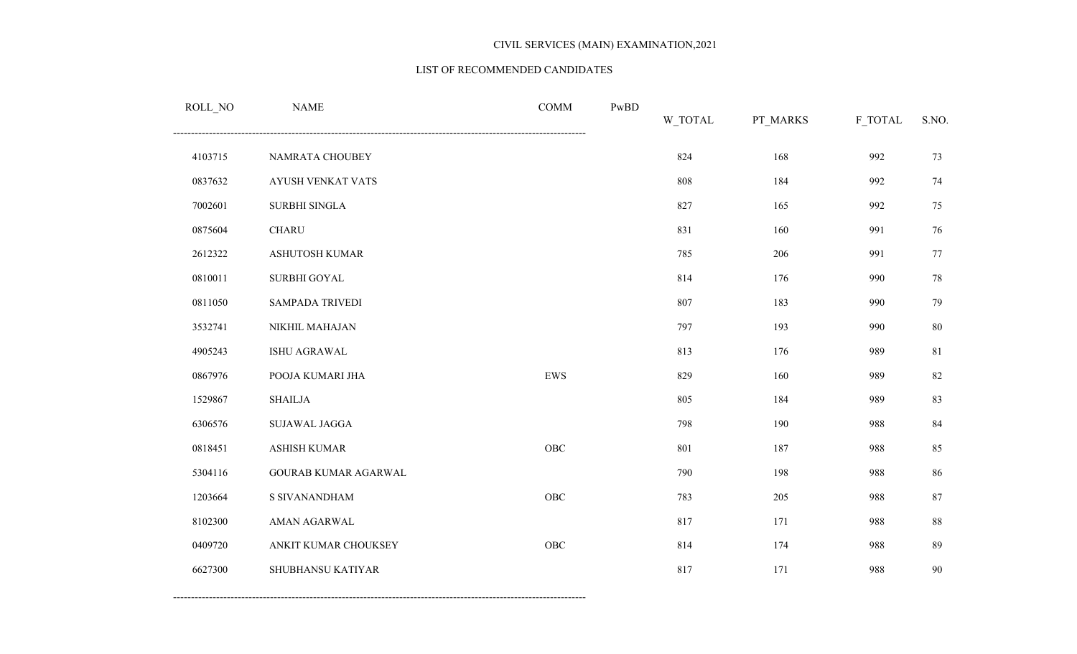#### LIST OF RECOMMENDED CANDIDATES

| <b>NAME</b>            | <b>COMM</b> | PwBD | W_TOTAL | PT_MARKS | F_TOTAL | S.NO. |
|------------------------|-------------|------|---------|----------|---------|-------|
| NAMRATA CHOUBEY        |             |      | 824     | 168      | 992     | 73    |
| AYUSH VENKAT VATS      |             |      | 808     | 184      | 992     | 74    |
| SURBHI SINGLA          |             |      | 827     | 165      | 992     | 75    |
| <b>CHARU</b>           |             |      | 831     | 160      | 991     | 76    |
| ASHUTOSH KUMAR         |             |      | 785     | 206      | 991     | 77    |
| SURBHI GOYAL           |             |      | 814     | 176      | 990     | 78    |
| <b>SAMPADA TRIVEDI</b> |             |      | 807     | 183      | 990     | 79    |
| NIKHIL MAHAJAN         |             |      | 797     | 193      | 990     | 80    |
| ISHU AGRAWAL           |             |      | 813     | 176      | 989     | 81    |
| POOJA KUMARI JHA       | EWS         |      | 829     | 160      | 989     | 82    |
| <b>SHAILJA</b>         |             |      | 805     | 184      | 989     | 83    |
| SUJAWAL JAGGA          |             |      | 798     | 190      | 988     | 84    |
| <b>ASHISH KUMAR</b>    | OBC         |      | 801     | 187      | 988     | 85    |
| GOURAB KUMAR AGARWAL   |             |      | 790     | 198      | 988     | 86    |
| S SIVANANDHAM          | OBC         |      | 783     | 205      | 988     | 87    |
| AMAN AGARWAL           |             |      | 817     | 171      | 988     | 88    |
| ANKIT KUMAR CHOUKSEY   | OBC         |      | 814     | 174      | 988     | 89    |
| SHUBHANSU KATIYAR      |             |      | 817     | 171      | 988     | 90    |
|                        |             |      |         |          |         |       |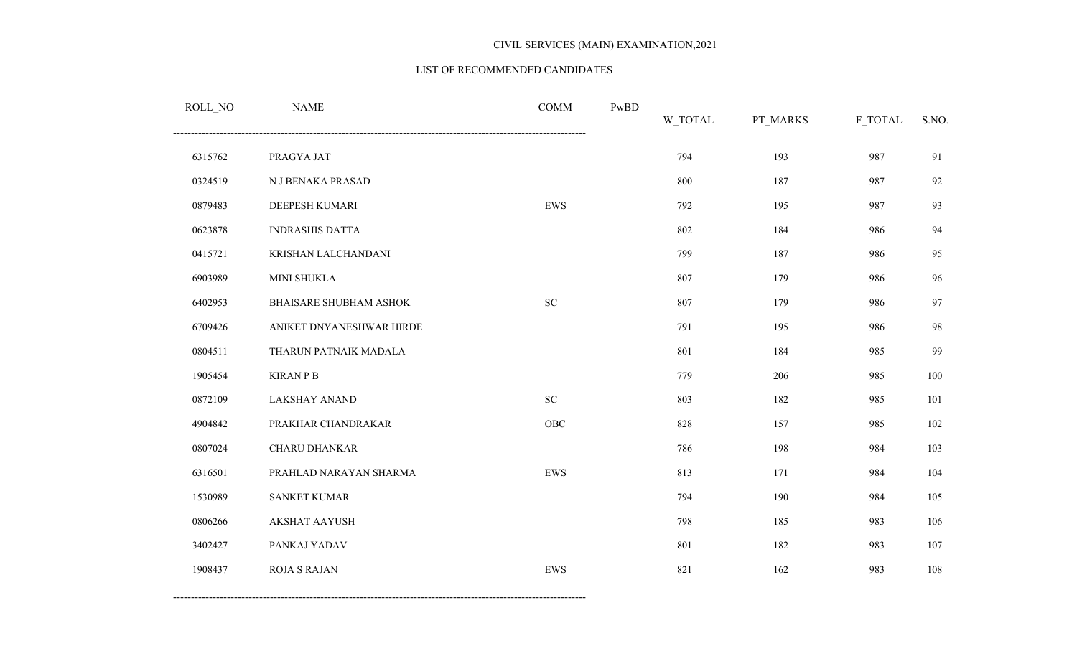#### LIST OF RECOMMENDED CANDIDATES

| ROLL_NO | <b>NAME</b>              | <b>COMM</b>                | PwBD | W_TOTAL | PT_MARKS | F_TOTAL | S.NO. |
|---------|--------------------------|----------------------------|------|---------|----------|---------|-------|
| 6315762 | PRAGYA JAT               |                            |      | 794     | 193      | 987     | 91    |
| 0324519 | N J BENAKA PRASAD        |                            |      | 800     | 187      | 987     | 92    |
| 0879483 | DEEPESH KUMARI           | EWS                        |      | 792     | 195      | 987     | 93    |
| 0623878 | <b>INDRASHIS DATTA</b>   |                            |      | 802     | 184      | 986     | 94    |
| 0415721 | KRISHAN LALCHANDANI      |                            |      | 799     | 187      | 986     | 95    |
| 6903989 | MINI SHUKLA              |                            |      | 807     | 179      | 986     | 96    |
| 6402953 | BHAISARE SHUBHAM ASHOK   | $\ensuremath{\mathbf{SC}}$ |      | 807     | 179      | 986     | 97    |
| 6709426 | ANIKET DNYANESHWAR HIRDE |                            |      | 791     | 195      | 986     | 98    |
| 0804511 | THARUN PATNAIK MADALA    |                            |      | 801     | 184      | 985     | 99    |
| 1905454 | <b>KIRAN P B</b>         |                            |      | 779     | 206      | 985     | 100   |
| 0872109 | <b>LAKSHAY ANAND</b>     | ${\rm SC}$                 |      | 803     | 182      | 985     | 101   |
| 4904842 | PRAKHAR CHANDRAKAR       | OBC                        |      | 828     | 157      | 985     | 102   |
| 0807024 | CHARU DHANKAR            |                            |      | 786     | 198      | 984     | 103   |
| 6316501 | PRAHLAD NARAYAN SHARMA   | EWS                        |      | 813     | 171      | 984     | 104   |
| 1530989 | <b>SANKET KUMAR</b>      |                            |      | 794     | 190      | 984     | 105   |
| 0806266 | <b>AKSHAT AAYUSH</b>     |                            |      | 798     | 185      | 983     | 106   |
| 3402427 | PANKAJ YADAV             |                            |      | 801     | 182      | 983     | 107   |
| 1908437 | <b>ROJA S RAJAN</b>      | EWS                        |      | 821     | 162      | 983     | 108   |
|         |                          |                            |      |         |          |         |       |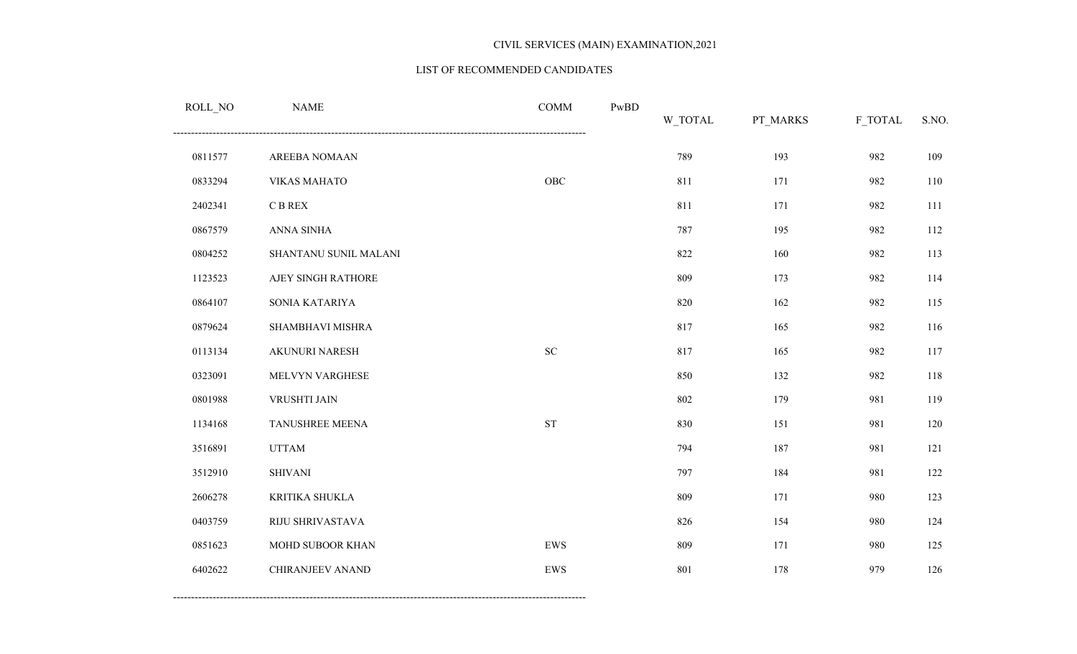#### LIST OF RECOMMENDED CANDIDATES

| ROLL_NO | <b>NAME</b>             | <b>COMM</b> | PwBD | W_TOTAL | PT_MARKS | F_TOTAL | S.NO. |
|---------|-------------------------|-------------|------|---------|----------|---------|-------|
| 0811577 | AREEBA NOMAAN           |             |      | 789     | 193      | 982     | 109   |
| 0833294 | <b>VIKAS MAHATO</b>     | OBC         |      | 811     | 171      | 982     | 110   |
| 2402341 | $\mathbf C$ B REX       |             |      | 811     | 171      | 982     | 111   |
| 0867579 | ANNA SINHA              |             |      | 787     | 195      | 982     | 112   |
| 0804252 | SHANTANU SUNIL MALANI   |             |      | 822     | 160      | 982     | 113   |
| 1123523 | AJEY SINGH RATHORE      |             |      | 809     | 173      | 982     | 114   |
| 0864107 | SONIA KATARIYA          |             |      | 820     | 162      | 982     | 115   |
| 0879624 | SHAMBHAVI MISHRA        |             |      | 817     | 165      | 982     | 116   |
| 0113134 | AKUNURI NARESH          | ${\rm SC}$  |      | 817     | 165      | 982     | 117   |
| 0323091 | MELVYN VARGHESE         |             |      | 850     | 132      | 982     | 118   |
| 0801988 | VRUSHTI JAIN            |             |      | 802     | 179      | 981     | 119   |
| 1134168 | TANUSHREE MEENA         | <b>ST</b>   |      | 830     | 151      | 981     | 120   |
| 3516891 | <b>UTTAM</b>            |             |      | 794     | 187      | 981     | 121   |
| 3512910 | <b>SHIVANI</b>          |             |      | 797     | 184      | 981     | 122   |
| 2606278 | KRITIKA SHUKLA          |             |      | 809     | 171      | 980     | 123   |
| 0403759 | RIJU SHRIVASTAVA        |             |      | 826     | 154      | 980     | 124   |
| 0851623 | MOHD SUBOOR KHAN        | ${\rm EWS}$ |      | 809     | 171      | 980     | 125   |
| 6402622 | <b>CHIRANJEEV ANAND</b> | ${\rm EWS}$ |      | 801     | 178      | 979     | 126   |
|         |                         |             |      |         |          |         |       |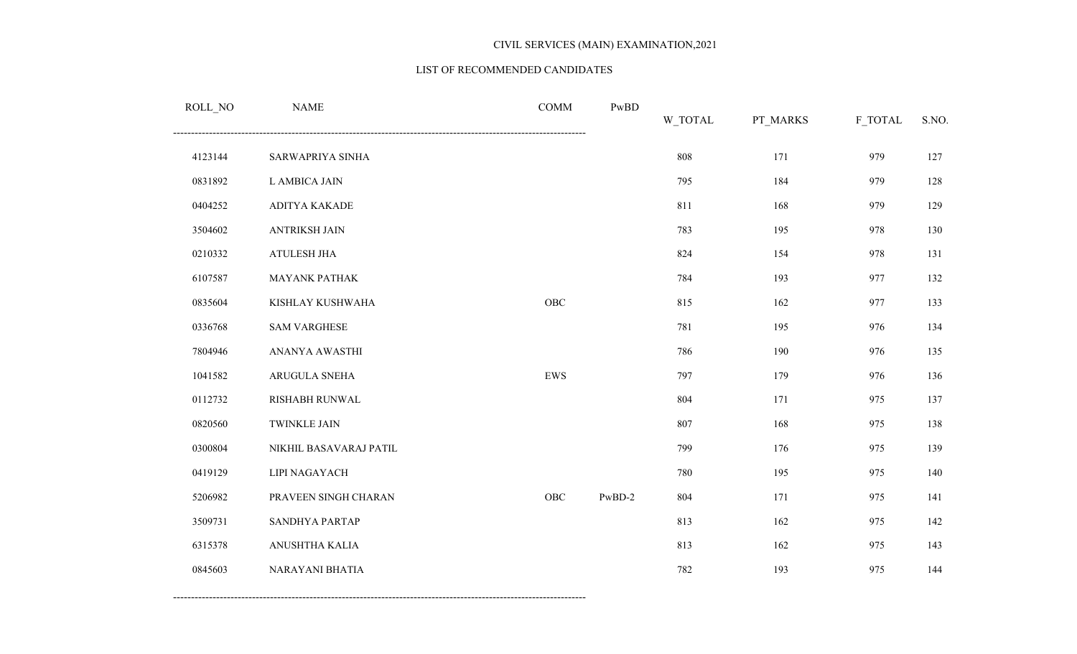#### LIST OF RECOMMENDED CANDIDATES

| ROLL_NO | <b>NAME</b>            | <b>COMM</b> | PwBD   | W_TOTAL | PT_MARKS | F_TOTAL | S.NO. |
|---------|------------------------|-------------|--------|---------|----------|---------|-------|
| 4123144 | SARWAPRIYA SINHA       |             |        | 808     | 171      | 979     | 127   |
| 0831892 | L AMBICA JAIN          |             |        | 795     | 184      | 979     | 128   |
| 0404252 | ADITYA KAKADE          |             |        | 811     | 168      | 979     | 129   |
| 3504602 | <b>ANTRIKSH JAIN</b>   |             |        | 783     | 195      | 978     | 130   |
| 0210332 | ATULESH JHA            |             |        | 824     | 154      | 978     | 131   |
| 6107587 | <b>MAYANK PATHAK</b>   |             |        | 784     | 193      | 977     | 132   |
| 0835604 | KISHLAY KUSHWAHA       | ${\rm OBC}$ |        | 815     | 162      | 977     | 133   |
| 0336768 | <b>SAM VARGHESE</b>    |             |        | 781     | 195      | 976     | 134   |
| 7804946 | ANANYA AWASTHI         |             |        | 786     | 190      | 976     | 135   |
| 1041582 | ARUGULA SNEHA          | ${\rm EWS}$ |        | 797     | 179      | 976     | 136   |
| 0112732 | RISHABH RUNWAL         |             |        | 804     | 171      | 975     | 137   |
| 0820560 | <b>TWINKLE JAIN</b>    |             |        | 807     | 168      | 975     | 138   |
| 0300804 | NIKHIL BASAVARAJ PATIL |             |        | 799     | 176      | 975     | 139   |
| 0419129 | LIPI NAGAYACH          |             |        | 780     | 195      | 975     | 140   |
| 5206982 | PRAVEEN SINGH CHARAN   | OBC         | PwBD-2 | 804     | 171      | 975     | 141   |
| 3509731 | SANDHYA PARTAP         |             |        | 813     | 162      | 975     | 142   |
| 6315378 | ANUSHTHA KALIA         |             |        | 813     | 162      | 975     | 143   |
| 0845603 | NARAYANI BHATIA        |             |        | 782     | 193      | 975     | 144   |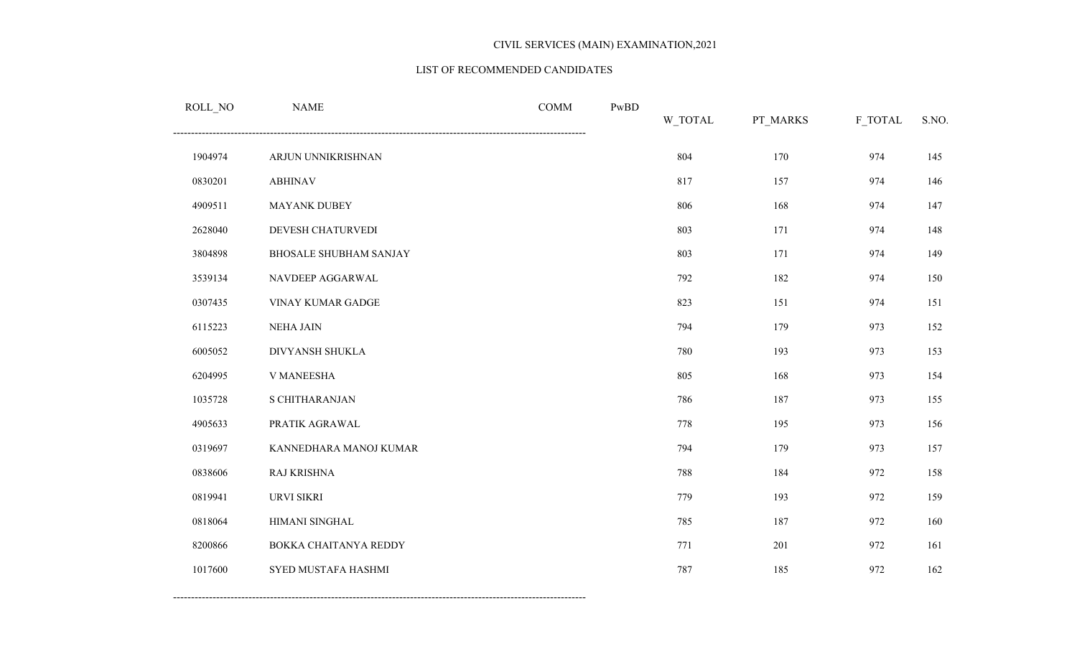#### LIST OF RECOMMENDED CANDIDATES

| ROLL_NO | <b>NAME</b>            | <b>COMM</b> | $\mathbf{PwBD}$ | W_TOTAL | PT_MARKS | F_TOTAL | S.NO. |
|---------|------------------------|-------------|-----------------|---------|----------|---------|-------|
| 1904974 | ARJUN UNNIKRISHNAN     |             |                 | 804     | 170      | 974     | 145   |
| 0830201 | <b>ABHINAV</b>         |             |                 | 817     | 157      | 974     | 146   |
| 4909511 | <b>MAYANK DUBEY</b>    |             |                 | 806     | 168      | 974     | 147   |
| 2628040 | DEVESH CHATURVEDI      |             |                 | 803     | 171      | 974     | 148   |
| 3804898 | BHOSALE SHUBHAM SANJAY |             |                 | 803     | 171      | 974     | 149   |
| 3539134 | NAVDEEP AGGARWAL       |             |                 | 792     | 182      | 974     | 150   |
| 0307435 | VINAY KUMAR GADGE      |             |                 | 823     | 151      | 974     | 151   |
| 6115223 | <b>NEHA JAIN</b>       |             |                 | 794     | 179      | 973     | 152   |
| 6005052 | DIVYANSH SHUKLA        |             |                 | 780     | 193      | 973     | 153   |
| 6204995 | V MANEESHA             |             |                 | 805     | 168      | 973     | 154   |
| 1035728 | S CHITHARANJAN         |             |                 | 786     | 187      | 973     | 155   |
| 4905633 | PRATIK AGRAWAL         |             |                 | 778     | 195      | 973     | 156   |
| 0319697 | KANNEDHARA MANOJ KUMAR |             |                 | 794     | 179      | 973     | 157   |
| 0838606 | RAJ KRISHNA            |             |                 | 788     | 184      | 972     | 158   |
| 0819941 | URVI SIKRI             |             |                 | 779     | 193      | 972     | 159   |
| 0818064 | HIMANI SINGHAL         |             |                 | 785     | 187      | 972     | 160   |
| 8200866 | BOKKA CHAITANYA REDDY  |             |                 | 771     | 201      | 972     | 161   |
| 1017600 | SYED MUSTAFA HASHMI    |             |                 | 787     | 185      | 972     | 162   |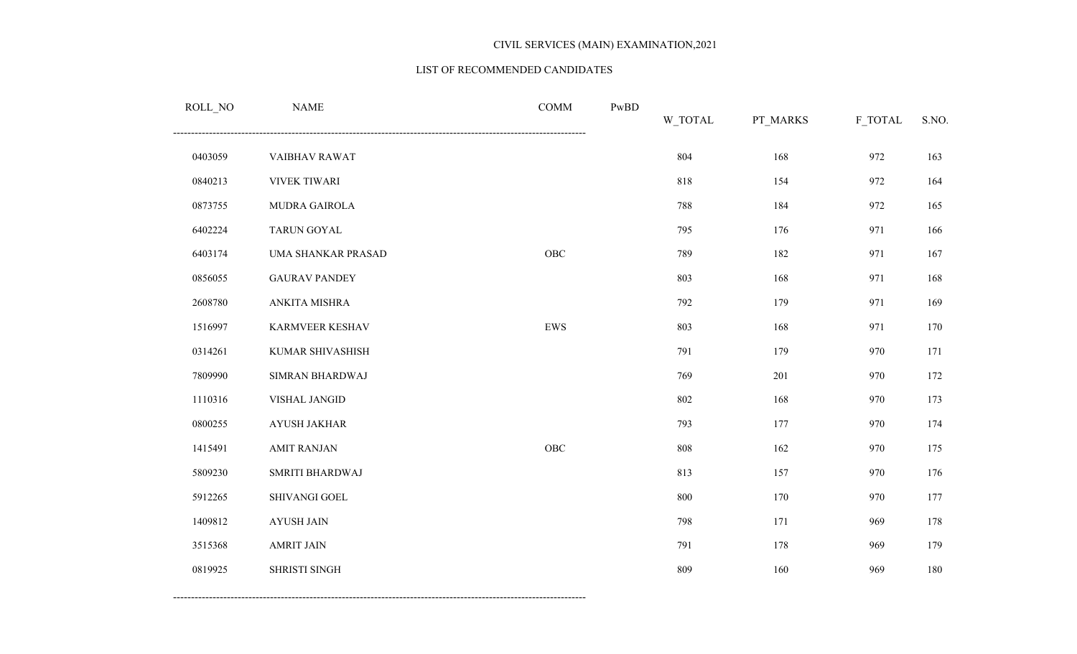#### LIST OF RECOMMENDED CANDIDATES

| ROLL_NO | $\ensuremath{\mathsf{NAME}}$ | COMM        | $\mathbf{PwBD}$ | W_TOTAL | PT_MARKS | F_TOTAL | S.NO. |
|---------|------------------------------|-------------|-----------------|---------|----------|---------|-------|
| 0403059 | VAIBHAV RAWAT                |             |                 | 804     | 168      | 972     | 163   |
| 0840213 | <b>VIVEK TIWARI</b>          |             |                 | 818     | 154      | 972     | 164   |
| 0873755 | MUDRA GAIROLA                |             |                 | 788     | 184      | 972     | 165   |
| 6402224 | <b>TARUN GOYAL</b>           |             |                 | 795     | 176      | 971     | 166   |
| 6403174 | UMA SHANKAR PRASAD           | OBC         |                 | 789     | 182      | 971     | 167   |
| 0856055 | <b>GAURAV PANDEY</b>         |             |                 | 803     | 168      | 971     | 168   |
| 2608780 | ANKITA MISHRA                |             |                 | 792     | 179      | 971     | 169   |
| 1516997 | KARMVEER KESHAV              | EWS         |                 | 803     | 168      | 971     | 170   |
| 0314261 | KUMAR SHIVASHISH             |             |                 | 791     | 179      | 970     | 171   |
| 7809990 | SIMRAN BHARDWAJ              |             |                 | 769     | 201      | 970     | 172   |
| 1110316 | VISHAL JANGID                |             |                 | 802     | 168      | 970     | 173   |
| 0800255 | <b>AYUSH JAKHAR</b>          |             |                 | 793     | 177      | 970     | 174   |
| 1415491 | <b>AMIT RANJAN</b>           | ${\rm OBC}$ |                 | 808     | 162      | 970     | 175   |
| 5809230 | SMRITI BHARDWAJ              |             |                 | 813     | 157      | 970     | 176   |
| 5912265 | SHIVANGI GOEL                |             |                 | 800     | 170      | 970     | 177   |
| 1409812 | <b>AYUSH JAIN</b>            |             |                 | 798     | 171      | 969     | 178   |
| 3515368 | <b>AMRIT JAIN</b>            |             |                 | 791     | 178      | 969     | 179   |
| 0819925 | SHRISTI SINGH                |             |                 | 809     | 160      | 969     | 180   |
|         |                              |             |                 |         |          |         |       |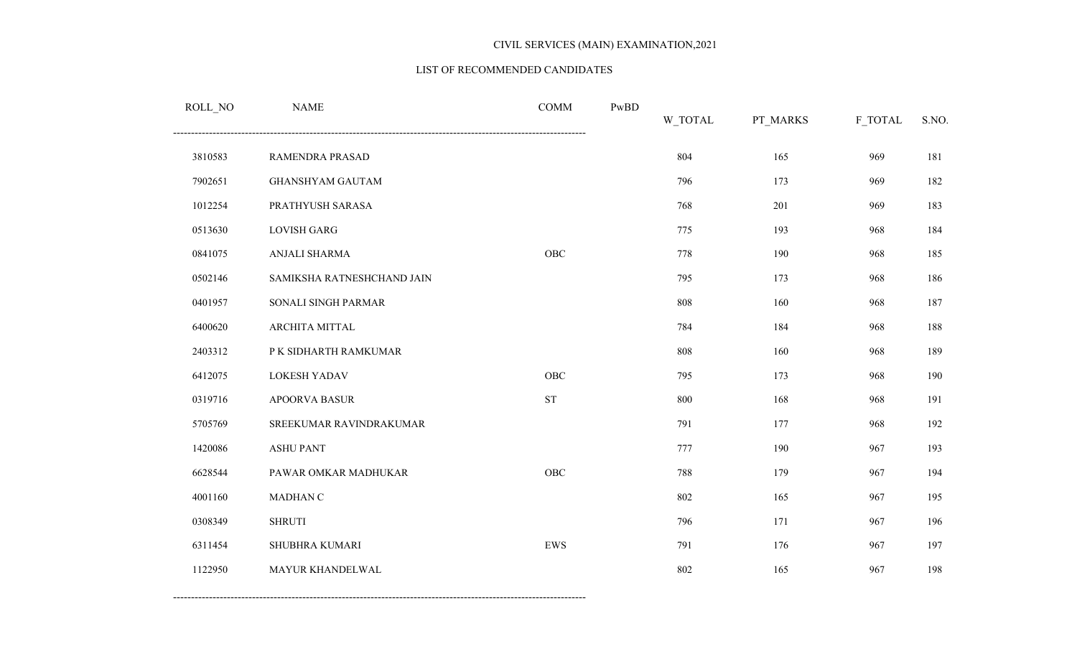#### LIST OF RECOMMENDED CANDIDATES

| ROLL_NO | <b>NAME</b>                | <b>COMM</b>         | PwBD | W_TOTAL | PT_MARKS | F_TOTAL | S.NO. |
|---------|----------------------------|---------------------|------|---------|----------|---------|-------|
| 3810583 | RAMENDRA PRASAD            |                     |      | 804     | 165      | 969     | 181   |
| 7902651 | <b>GHANSHYAM GAUTAM</b>    |                     |      | 796     | 173      | 969     | 182   |
| 1012254 | PRATHYUSH SARASA           |                     |      | 768     | 201      | 969     | 183   |
| 0513630 | <b>LOVISH GARG</b>         |                     |      | 775     | 193      | 968     | 184   |
| 0841075 | ANJALI SHARMA              | OBC                 |      | 778     | 190      | 968     | 185   |
| 0502146 | SAMIKSHA RATNESHCHAND JAIN |                     |      | 795     | 173      | 968     | 186   |
| 0401957 | SONALI SINGH PARMAR        |                     |      | 808     | 160      | 968     | 187   |
| 6400620 | ARCHITA MITTAL             |                     |      | 784     | 184      | 968     | 188   |
| 2403312 | P K SIDHARTH RAMKUMAR      |                     |      | 808     | 160      | 968     | 189   |
| 6412075 | LOKESH YADAV               | <b>OBC</b>          |      | 795     | 173      | 968     | 190   |
| 0319716 | <b>APOORVA BASUR</b>       | $\operatorname{ST}$ |      | 800     | 168      | 968     | 191   |
| 5705769 | SREEKUMAR RAVINDRAKUMAR    |                     |      | 791     | 177      | 968     | 192   |
| 1420086 | <b>ASHU PANT</b>           |                     |      | 777     | 190      | 967     | 193   |
| 6628544 | PAWAR OMKAR MADHUKAR       | OBC                 |      | 788     | 179      | 967     | 194   |
| 4001160 | MADHAN C                   |                     |      | 802     | 165      | 967     | 195   |
| 0308349 | <b>SHRUTI</b>              |                     |      | 796     | 171      | 967     | 196   |
| 6311454 | SHUBHRA KUMARI             | EWS                 |      | 791     | 176      | 967     | 197   |
| 1122950 | MAYUR KHANDELWAL           |                     |      | 802     | 165      | 967     | 198   |
|         |                            |                     |      |         |          |         |       |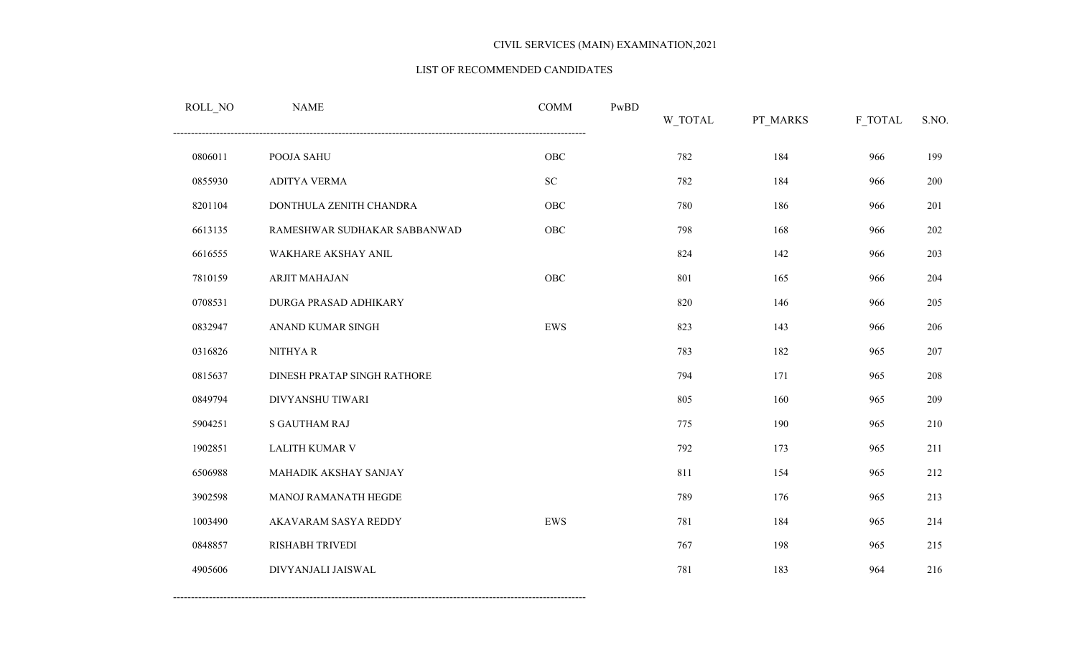#### LIST OF RECOMMENDED CANDIDATES

| ROLL_NO | <b>NAME</b>                  | <b>COMM</b> | PwBD | W_TOTAL | PT_MARKS | F_TOTAL | S.NO. |
|---------|------------------------------|-------------|------|---------|----------|---------|-------|
| 0806011 | POOJA SAHU                   | ${\rm OBC}$ |      | 782     | 184      | 966     | 199   |
| 0855930 | <b>ADITYA VERMA</b>          | ${\rm SC}$  |      | 782     | 184      | 966     | 200   |
| 8201104 | DONTHULA ZENITH CHANDRA      | OBC         |      | 780     | 186      | 966     | 201   |
| 6613135 | RAMESHWAR SUDHAKAR SABBANWAD | OBC         |      | 798     | 168      | 966     | 202   |
| 6616555 | WAKHARE AKSHAY ANIL          |             |      | 824     | 142      | 966     | 203   |
| 7810159 | ARJIT MAHAJAN                | OBC         |      | 801     | 165      | 966     | 204   |
| 0708531 | DURGA PRASAD ADHIKARY        |             |      | 820     | 146      | 966     | 205   |
| 0832947 | ANAND KUMAR SINGH            | EWS         |      | 823     | 143      | 966     | 206   |
| 0316826 | NITHYAR                      |             |      | 783     | 182      | 965     | 207   |
| 0815637 | DINESH PRATAP SINGH RATHORE  |             |      | 794     | 171      | 965     | 208   |
| 0849794 | DIVYANSHU TIWARI             |             |      | 805     | 160      | 965     | 209   |
| 5904251 | <b>S GAUTHAM RAJ</b>         |             |      | 775     | 190      | 965     | 210   |
| 1902851 | <b>LALITH KUMAR V</b>        |             |      | 792     | 173      | 965     | 211   |
| 6506988 | MAHADIK AKSHAY SANJAY        |             |      | 811     | 154      | 965     | 212   |
| 3902598 | MANOJ RAMANATH HEGDE         |             |      | 789     | 176      | 965     | 213   |
| 1003490 | AKAVARAM SASYA REDDY         | ${\rm EWS}$ |      | 781     | 184      | 965     | 214   |
| 0848857 | RISHABH TRIVEDI              |             |      | 767     | 198      | 965     | 215   |
| 4905606 | DIVYANJALI JAISWAL           |             |      | 781     | 183      | 964     | 216   |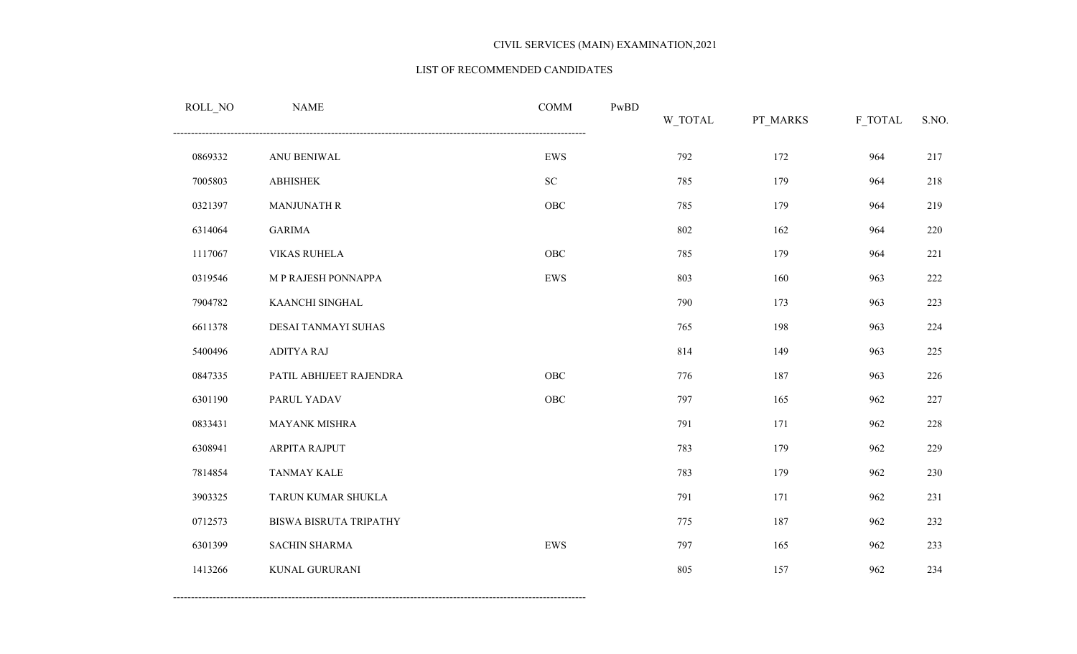#### LIST OF RECOMMENDED CANDIDATES

| ROLL_NO | <b>NAME</b>             | <b>COMM</b> | PwBD | W_TOTAL | PT_MARKS | F_TOTAL | S.NO. |
|---------|-------------------------|-------------|------|---------|----------|---------|-------|
| 0869332 | ANU BENIWAL             | ${\rm EWS}$ |      | 792     | 172      | 964     | 217   |
| 7005803 | <b>ABHISHEK</b>         | ${\rm SC}$  |      | 785     | 179      | 964     | 218   |
| 0321397 | <b>MANJUNATH R</b>      | ${\rm OBC}$ |      | 785     | 179      | 964     | 219   |
| 6314064 | <b>GARIMA</b>           |             |      | 802     | 162      | 964     | 220   |
| 1117067 | <b>VIKAS RUHELA</b>     | OBC         |      | 785     | 179      | 964     | 221   |
| 0319546 | M P RAJESH PONNAPPA     | ${\rm EWS}$ |      | 803     | 160      | 963     | 222   |
| 7904782 | KAANCHI SINGHAL         |             |      | 790     | 173      | 963     | 223   |
| 6611378 | DESAI TANMAYI SUHAS     |             |      | 765     | 198      | 963     | 224   |
| 5400496 | <b>ADITYA RAJ</b>       |             |      | 814     | 149      | 963     | 225   |
| 0847335 | PATIL ABHIJEET RAJENDRA | OBC         |      | 776     | 187      | 963     | 226   |
| 6301190 | PARUL YADAV             | ${\rm OBC}$ |      | 797     | 165      | 962     | 227   |
| 0833431 | MAYANK MISHRA           |             |      | 791     | 171      | 962     | 228   |
| 6308941 | ARPITA RAJPUT           |             |      | 783     | 179      | 962     | 229   |
| 7814854 | <b>TANMAY KALE</b>      |             |      | 783     | 179      | 962     | 230   |
| 3903325 | TARUN KUMAR SHUKLA      |             |      | 791     | 171      | 962     | 231   |
| 0712573 | BISWA BISRUTA TRIPATHY  |             |      | 775     | 187      | 962     | 232   |
| 6301399 | SACHIN SHARMA           | ${\rm EWS}$ |      | 797     | 165      | 962     | 233   |
| 1413266 | KUNAL GURURANI          |             |      | 805     | 157      | 962     | 234   |
|         |                         |             |      |         |          |         |       |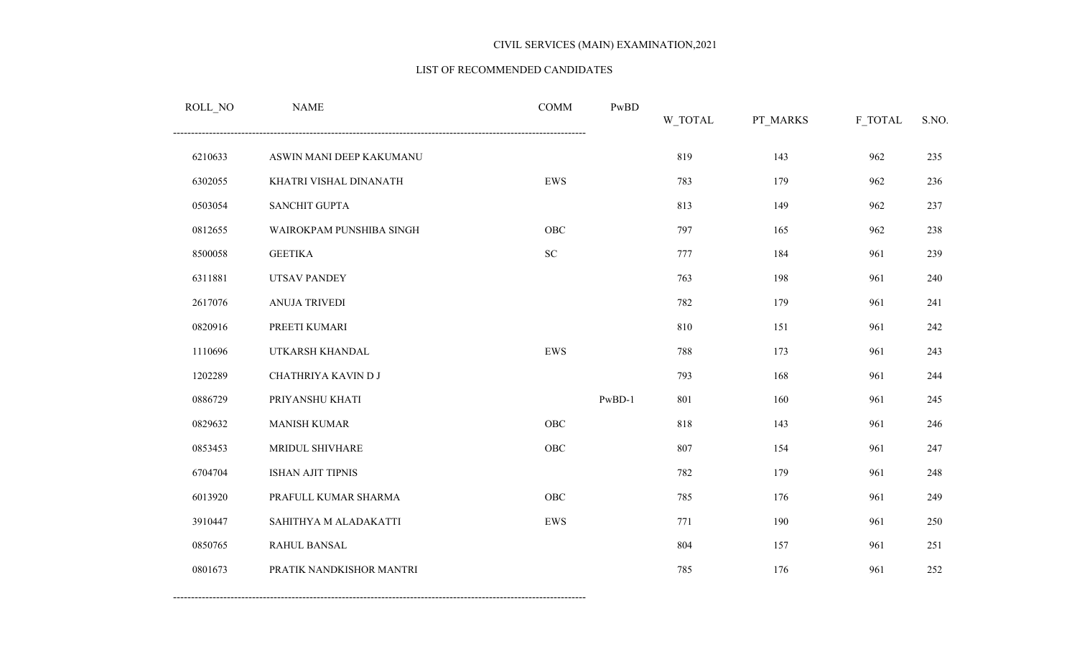#### LIST OF RECOMMENDED CANDIDATES

| ROLL_NO | <b>NAME</b>              | <b>COMM</b> | PwBD     | W_TOTAL | PT_MARKS | F_TOTAL | S.NO. |
|---------|--------------------------|-------------|----------|---------|----------|---------|-------|
| 6210633 | ASWIN MANI DEEP KAKUMANU |             |          | 819     | 143      | 962     | 235   |
| 6302055 | KHATRI VISHAL DINANATH   | ${\rm EWS}$ |          | 783     | 179      | 962     | 236   |
| 0503054 | <b>SANCHIT GUPTA</b>     |             |          | 813     | 149      | 962     | 237   |
| 0812655 | WAIROKPAM PUNSHIBA SINGH | OBC         |          | 797     | 165      | 962     | 238   |
| 8500058 | <b>GEETIKA</b>           | ${\rm SC}$  |          | 777     | 184      | 961     | 239   |
| 6311881 | <b>UTSAV PANDEY</b>      |             |          | 763     | 198      | 961     | 240   |
| 2617076 | <b>ANUJA TRIVEDI</b>     |             |          | 782     | 179      | 961     | 241   |
| 0820916 | PREETI KUMARI            |             |          | 810     | 151      | 961     | 242   |
| 1110696 | UTKARSH KHANDAL          | EWS         |          | 788     | 173      | 961     | 243   |
| 1202289 | CHATHRIYA KAVIN D J      |             |          | 793     | 168      | 961     | 244   |
| 0886729 | PRIYANSHU KHATI          |             | $PwBD-1$ | 801     | 160      | 961     | 245   |
| 0829632 | <b>MANISH KUMAR</b>      | ${\rm OBC}$ |          | 818     | 143      | 961     | 246   |
| 0853453 | MRIDUL SHIVHARE          | OBC         |          | 807     | 154      | 961     | 247   |
| 6704704 | ISHAN AJIT TIPNIS        |             |          | 782     | 179      | 961     | 248   |
| 6013920 | PRAFULL KUMAR SHARMA     | OBC         |          | 785     | 176      | 961     | 249   |
| 3910447 | SAHITHYA M ALADAKATTI    | ${\rm EWS}$ |          | 771     | 190      | 961     | 250   |
| 0850765 | RAHUL BANSAL             |             |          | 804     | 157      | 961     | 251   |
| 0801673 | PRATIK NANDKISHOR MANTRI |             |          | 785     | 176      | 961     | 252   |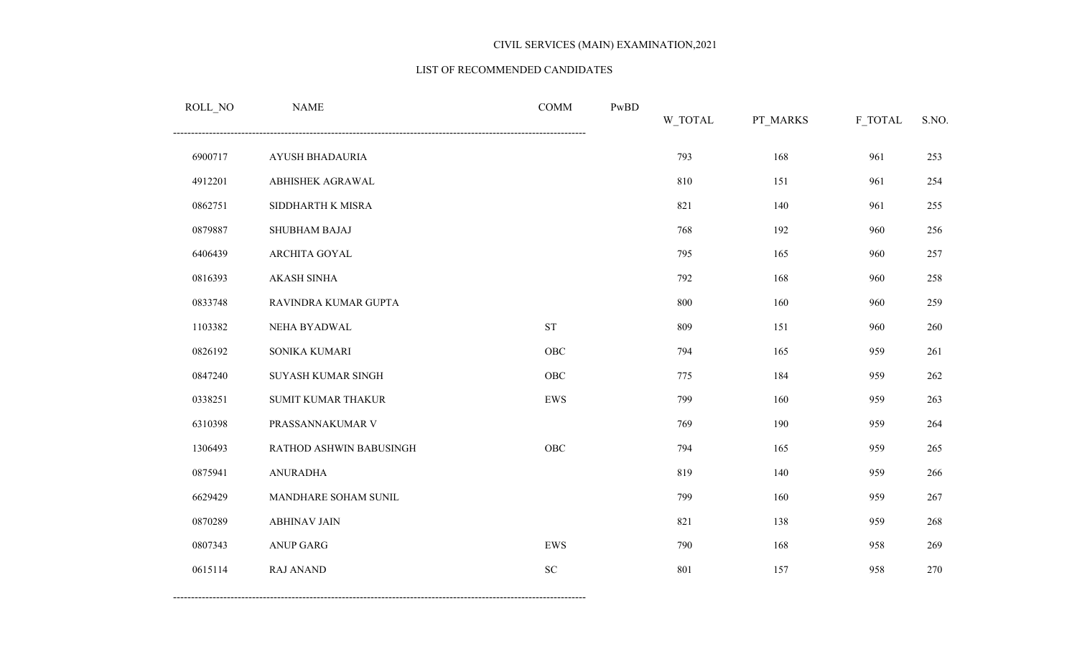#### LIST OF RECOMMENDED CANDIDATES

| <b>NAME</b>             | <b>COMM</b> | PwBD | W_TOTAL | PT_MARKS | F_TOTAL | S.NO. |
|-------------------------|-------------|------|---------|----------|---------|-------|
| AYUSH BHADAURIA         |             |      | 793     | 168      | 961     | 253   |
| ABHISHEK AGRAWAL        |             |      | 810     | 151      | 961     | 254   |
| SIDDHARTH K MISRA       |             |      | 821     | 140      | 961     | 255   |
| SHUBHAM BAJAJ           |             |      | 768     | 192      | 960     | 256   |
| ARCHITA GOYAL           |             |      | 795     | 165      | 960     | 257   |
| <b>AKASH SINHA</b>      |             |      | 792     | 168      | 960     | 258   |
| RAVINDRA KUMAR GUPTA    |             |      | 800     | 160      | 960     | 259   |
| NEHA BYADWAL            | <b>ST</b>   |      | 809     | 151      | 960     | 260   |
| SONIKA KUMARI           | OBC         |      | 794     | 165      | 959     | 261   |
| SUYASH KUMAR SINGH      | <b>OBC</b>  |      | 775     | 184      | 959     | 262   |
| SUMIT KUMAR THAKUR      | ${\rm EWS}$ |      | 799     | 160      | 959     | 263   |
| PRASSANNAKUMAR V        |             |      | 769     | 190      | 959     | 264   |
| RATHOD ASHWIN BABUSINGH | <b>OBC</b>  |      | 794     | 165      | 959     | 265   |
| <b>ANURADHA</b>         |             |      | 819     | 140      | 959     | 266   |
| MANDHARE SOHAM SUNIL    |             |      | 799     | 160      | 959     | 267   |
| <b>ABHINAV JAIN</b>     |             |      | 821     | 138      | 959     | 268   |
| <b>ANUP GARG</b>        | EWS         |      | 790     | 168      | 958     | 269   |
| <b>RAJ ANAND</b>        | <b>SC</b>   |      | 801     | 157      | 958     | 270   |
|                         |             |      |         |          |         |       |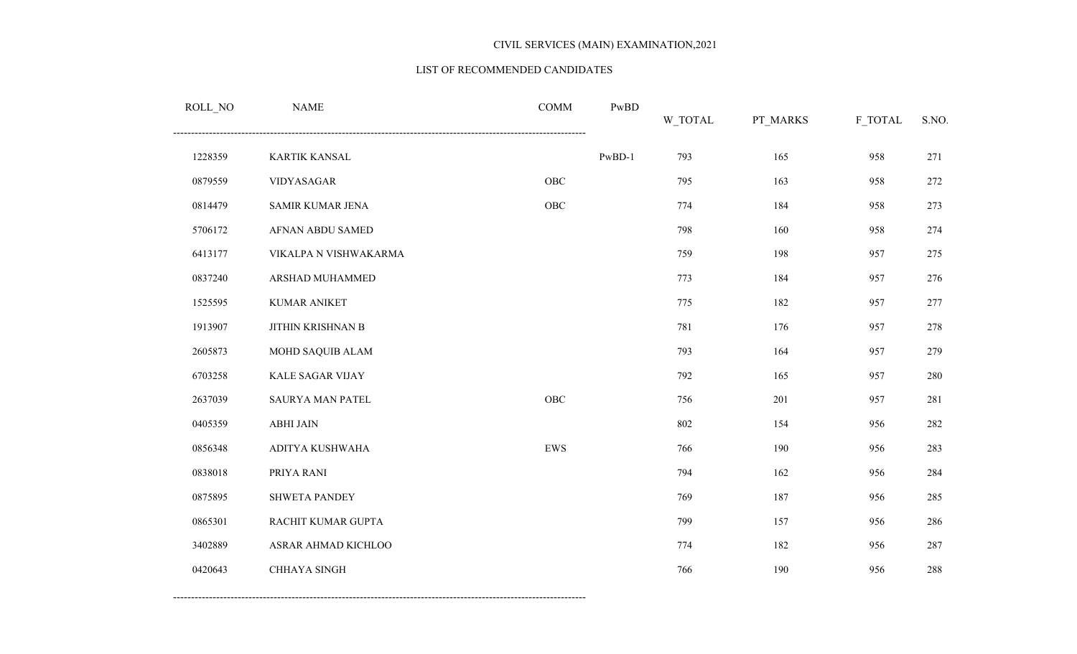#### LIST OF RECOMMENDED CANDIDATES

| ROLL_NO | <b>NAME</b>             | <b>COMM</b> | PwBD     | <b>W_TOTAL</b> | PT_MARKS | F_TOTAL | S.NO. |
|---------|-------------------------|-------------|----------|----------------|----------|---------|-------|
| 1228359 | KARTIK KANSAL           |             | $PwBD-1$ | 793            | 165      | 958     | 271   |
| 0879559 | VIDYASAGAR              | OBC         |          | 795            | 163      | 958     | 272   |
| 0814479 | SAMIR KUMAR JENA        | ${\rm OBC}$ |          | 774            | 184      | 958     | 273   |
| 5706172 | AFNAN ABDU SAMED        |             |          | 798            | 160      | 958     | 274   |
| 6413177 | VIKALPA N VISHWAKARMA   |             |          | 759            | 198      | 957     | 275   |
| 0837240 | ARSHAD MUHAMMED         |             |          | 773            | 184      | 957     | 276   |
| 1525595 | <b>KUMAR ANIKET</b>     |             |          | 775            | 182      | 957     | 277   |
| 1913907 | JITHIN KRISHNAN B       |             |          | 781            | 176      | 957     | 278   |
| 2605873 | MOHD SAQUIB ALAM        |             |          | 793            | 164      | 957     | 279   |
| 6703258 | KALE SAGAR VIJAY        |             |          | 792            | 165      | 957     | 280   |
| 2637039 | <b>SAURYA MAN PATEL</b> | OBC         |          | 756            | 201      | 957     | 281   |
| 0405359 | <b>ABHI JAIN</b>        |             |          | 802            | 154      | 956     | 282   |
| 0856348 | ADITYA KUSHWAHA         | EWS         |          | 766            | 190      | 956     | 283   |
| 0838018 | PRIYA RANI              |             |          | 794            | 162      | 956     | 284   |
| 0875895 | <b>SHWETA PANDEY</b>    |             |          | 769            | 187      | 956     | 285   |
| 0865301 | RACHIT KUMAR GUPTA      |             |          | 799            | 157      | 956     | 286   |
| 3402889 | ASRAR AHMAD KICHLOO     |             |          | 774            | 182      | 956     | 287   |
| 0420643 | CHHAYA SINGH            |             |          | 766            | 190      | 956     | 288   |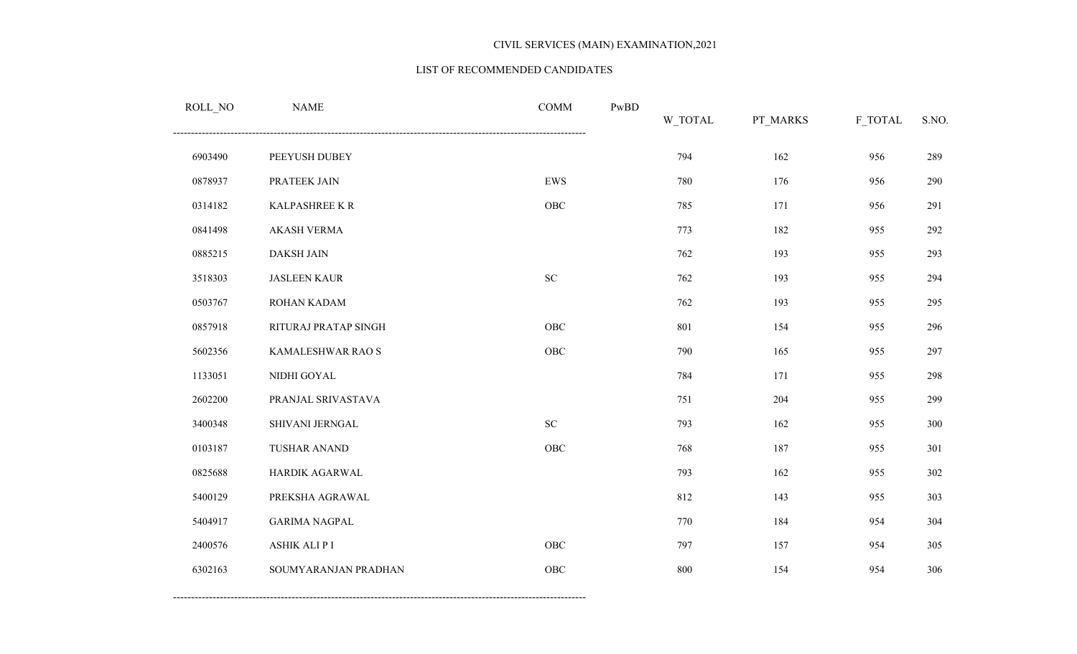#### LIST OF RECOMMENDED CANDIDATES

| ROLL_NO | <b>NAME</b>          | <b>COMM</b> | PwBD | W_TOTAL | PT_MARKS | F_TOTAL | S.NO. |
|---------|----------------------|-------------|------|---------|----------|---------|-------|
| 6903490 | PEEYUSH DUBEY        |             |      | 794     | 162      | 956     | 289   |
| 0878937 | PRATEEK JAIN         | ${\rm EWS}$ |      | 780     | 176      | 956     | 290   |
| 0314182 | KALPASHREE KR        | ${\rm OBC}$ |      | 785     | 171      | 956     | 291   |
| 0841498 | <b>AKASH VERMA</b>   |             |      | 773     | 182      | 955     | 292   |
| 0885215 | DAKSH JAIN           |             |      | 762     | 193      | 955     | 293   |
| 3518303 | <b>JASLEEN KAUR</b>  | ${\rm SC}$  |      | 762     | 193      | 955     | 294   |
| 0503767 | ROHAN KADAM          |             |      | 762     | 193      | 955     | 295   |
| 0857918 | RITURAJ PRATAP SINGH | ${\rm OBC}$ |      | 801     | 154      | 955     | 296   |
| 5602356 | KAMALESHWAR RAO S    | OBC         |      | 790     | 165      | 955     | 297   |
| 1133051 | NIDHI GOYAL          |             |      | 784     | 171      | 955     | 298   |
| 2602200 | PRANJAL SRIVASTAVA   |             |      | 751     | 204      | 955     | 299   |
| 3400348 | SHIVANI JERNGAL      | ${\rm SC}$  |      | 793     | 162      | 955     | 300   |
| 0103187 | TUSHAR ANAND         | ${\rm OBC}$ |      | 768     | 187      | 955     | 301   |
| 0825688 | HARDIK AGARWAL       |             |      | 793     | 162      | 955     | 302   |
| 5400129 | PREKSHA AGRAWAL      |             |      | 812     | 143      | 955     | 303   |
| 5404917 | <b>GARIMA NAGPAL</b> |             |      | 770     | 184      | 954     | 304   |
| 2400576 | ASHIK ALI P I        | ${\rm OBC}$ |      | 797     | 157      | 954     | 305   |
| 6302163 | SOUMYARANJAN PRADHAN | OBC         |      | 800     | 154      | 954     | 306   |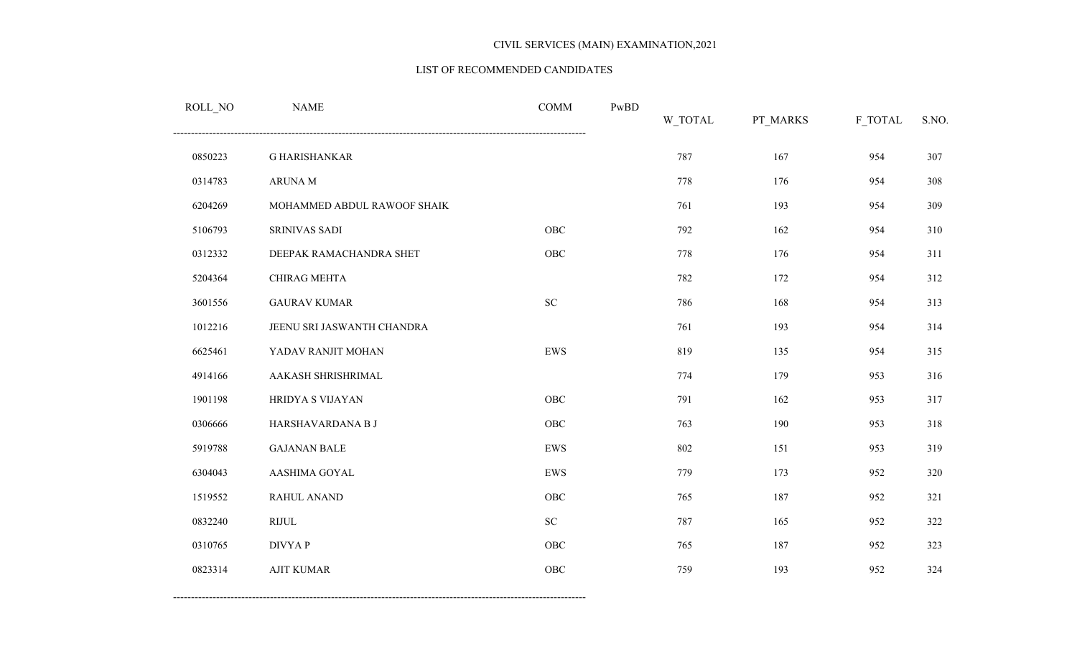#### LIST OF RECOMMENDED CANDIDATES

| ROLL_NO | <b>NAME</b>                 | <b>COMM</b> | PwBD | W_TOTAL | PT_MARKS | F_TOTAL | S.NO. |
|---------|-----------------------------|-------------|------|---------|----------|---------|-------|
| 0850223 | <b>G HARISHANKAR</b>        |             |      | 787     | 167      | 954     | 307   |
| 0314783 | ARUNA M                     |             |      | 778     | 176      | 954     | 308   |
| 6204269 | MOHAMMED ABDUL RAWOOF SHAIK |             |      | 761     | 193      | 954     | 309   |
| 5106793 | SRINIVAS SADI               | <b>OBC</b>  |      | 792     | 162      | 954     | 310   |
| 0312332 | DEEPAK RAMACHANDRA SHET     | <b>OBC</b>  |      | 778     | 176      | 954     | 311   |
| 5204364 | CHIRAG MEHTA                |             |      | 782     | 172      | 954     | 312   |
| 3601556 | <b>GAURAV KUMAR</b>         | ${\rm SC}$  |      | 786     | 168      | 954     | 313   |
| 1012216 | JEENU SRI JASWANTH CHANDRA  |             |      | 761     | 193      | 954     | 314   |
| 6625461 | YADAV RANJIT MOHAN          | ${\rm EWS}$ |      | 819     | 135      | 954     | 315   |
| 4914166 | AAKASH SHRISHRIMAL          |             |      | 774     | 179      | 953     | 316   |
| 1901198 | HRIDYA S VIJAYAN            | <b>OBC</b>  |      | 791     | 162      | 953     | 317   |
| 0306666 | HARSHAVARDANA B J           | OBC         |      | 763     | 190      | 953     | 318   |
| 5919788 | <b>GAJANAN BALE</b>         | ${\rm EWS}$ |      | 802     | 151      | 953     | 319   |
| 6304043 | AASHIMA GOYAL               | EWS         |      | 779     | 173      | 952     | 320   |
| 1519552 | RAHUL ANAND                 | <b>OBC</b>  |      | 765     | 187      | 952     | 321   |
| 0832240 | <b>RIJUL</b>                | ${\rm SC}$  |      | 787     | 165      | 952     | 322   |
| 0310765 | <b>DIVYAP</b>               | OBC         |      | 765     | 187      | 952     | 323   |
| 0823314 | <b>AJIT KUMAR</b>           | <b>OBC</b>  |      | 759     | 193      | 952     | 324   |
|         |                             |             |      |         |          |         |       |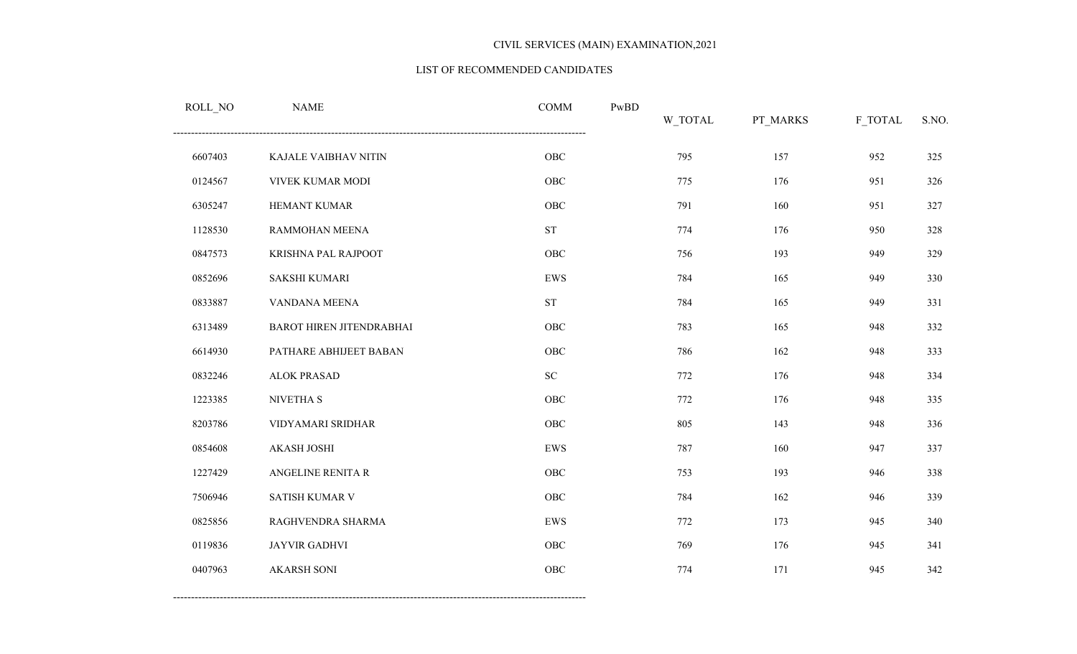#### LIST OF RECOMMENDED CANDIDATES

| ROLL_NO | <b>NAME</b>                     | <b>COMM</b>        | $\mathbf{PwBD}$ | W_TOTAL | PT_MARKS | F_TOTAL | S.NO. |
|---------|---------------------------------|--------------------|-----------------|---------|----------|---------|-------|
| 6607403 | KAJALE VAIBHAV NITIN            | ${\rm OBC}$        |                 | 795     | 157      | 952     | 325   |
| 0124567 | VIVEK KUMAR MODI                | ${\rm OBC}$        |                 | 775     | 176      | 951     | 326   |
| 6305247 | HEMANT KUMAR                    | ${\rm OBC}$        |                 | 791     | 160      | 951     | 327   |
| 1128530 | RAMMOHAN MEENA                  | ${\rm ST}$         |                 | 774     | 176      | 950     | 328   |
| 0847573 | KRISHNA PAL RAJPOOT             | OBC                |                 | 756     | 193      | 949     | 329   |
| 0852696 | <b>SAKSHI KUMARI</b>            | <b>EWS</b>         |                 | 784     | 165      | 949     | 330   |
| 0833887 | VANDANA MEENA                   | ${\cal S}{\cal T}$ |                 | 784     | 165      | 949     | 331   |
| 6313489 | <b>BAROT HIREN JITENDRABHAI</b> | OBC                |                 | 783     | 165      | 948     | 332   |
| 6614930 | PATHARE ABHIJEET BABAN          | ${\rm OBC}$        |                 | 786     | 162      | 948     | 333   |
| 0832246 | <b>ALOK PRASAD</b>              | ${\rm SC}$         |                 | 772     | 176      | 948     | 334   |
| 1223385 | NIVETHA S                       | OBC                |                 | 772     | 176      | 948     | 335   |
| 8203786 | VIDYAMARI SRIDHAR               | ${\rm OBC}$        |                 | 805     | 143      | 948     | 336   |
| 0854608 | <b>AKASH JOSHI</b>              | EWS                |                 | 787     | 160      | 947     | 337   |
| 1227429 | ANGELINE RENITA R               | OBC                |                 | 753     | 193      | 946     | 338   |
| 7506946 | SATISH KUMAR V                  | OBC                |                 | 784     | 162      | 946     | 339   |
| 0825856 | RAGHVENDRA SHARMA               | ${\rm EWS}$        |                 | 772     | 173      | 945     | 340   |
| 0119836 | JAYVIR GADHVI                   | OBC                |                 | 769     | 176      | 945     | 341   |
| 0407963 | <b>AKARSH SONI</b>              | OBC                |                 | 774     | 171      | 945     | 342   |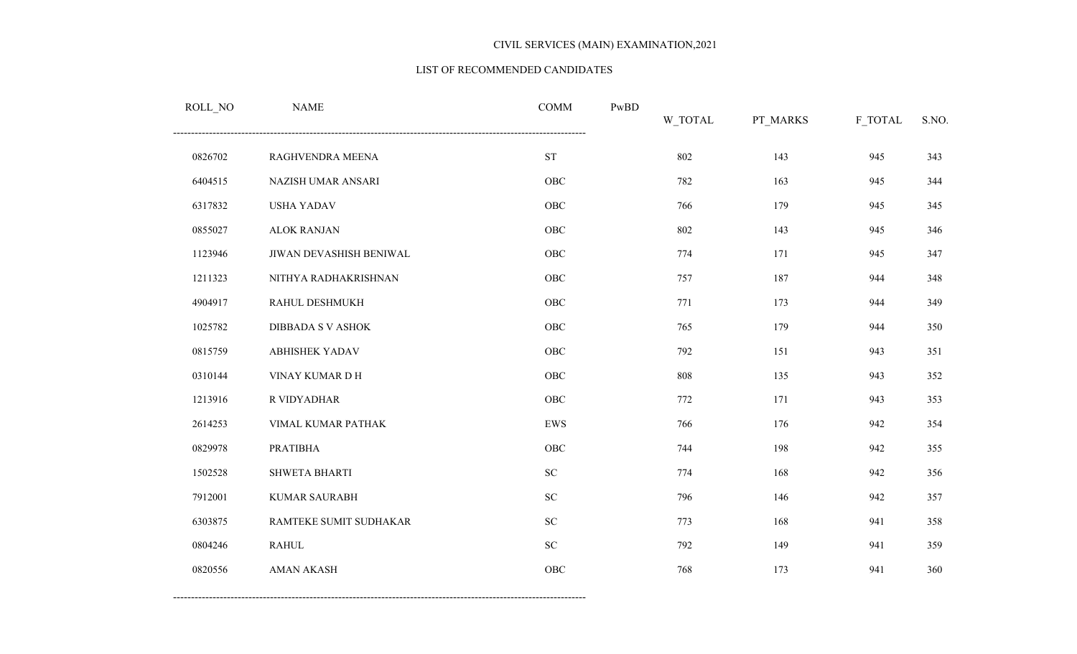#### LIST OF RECOMMENDED CANDIDATES

| ROLL_NO | <b>NAME</b>             | <b>COMM</b>         | PwBD | <b>W_TOTAL</b> | PT_MARKS | F_TOTAL | S.NO. |
|---------|-------------------------|---------------------|------|----------------|----------|---------|-------|
| 0826702 | RAGHVENDRA MEENA        | $\operatorname{ST}$ |      | 802            | 143      | 945     | 343   |
| 6404515 | NAZISH UMAR ANSARI      | OBC                 |      | 782            | 163      | 945     | 344   |
| 6317832 | <b>USHA YADAV</b>       | OBC                 |      | 766            | 179      | 945     | 345   |
| 0855027 | <b>ALOK RANJAN</b>      | OBC                 |      | 802            | 143      | 945     | 346   |
| 1123946 | JIWAN DEVASHISH BENIWAL | OBC                 |      | 774            | 171      | 945     | 347   |
| 1211323 | NITHYA RADHAKRISHNAN    | OBC                 |      | 757            | 187      | 944     | 348   |
| 4904917 | RAHUL DESHMUKH          | OBC                 |      | 771            | 173      | 944     | 349   |
| 1025782 | DIBBADA S V ASHOK       | OBC                 |      | 765            | 179      | 944     | 350   |
| 0815759 | <b>ABHISHEK YADAV</b>   | OBC                 |      | 792            | 151      | 943     | 351   |
| 0310144 | VINAY KUMAR D H         | OBC                 |      | 808            | 135      | 943     | 352   |
| 1213916 | R VIDYADHAR             | OBC                 |      | 772            | 171      | 943     | 353   |
| 2614253 | VIMAL KUMAR PATHAK      | ${\rm EWS}$         |      | 766            | 176      | 942     | 354   |
| 0829978 | <b>PRATIBHA</b>         | OBC                 |      | 744            | 198      | 942     | 355   |
| 1502528 | SHWETA BHARTI           | ${\rm SC}$          |      | 774            | 168      | 942     | 356   |
| 7912001 | <b>KUMAR SAURABH</b>    | ${\rm SC}$          |      | 796            | 146      | 942     | 357   |
| 6303875 | RAMTEKE SUMIT SUDHAKAR  | ${\rm SC}$          |      | 773            | 168      | 941     | 358   |
| 0804246 | <b>RAHUL</b>            | ${\rm SC}$          |      | 792            | 149      | 941     | 359   |
| 0820556 | <b>AMAN AKASH</b>       | OBC                 |      | 768            | 173      | 941     | 360   |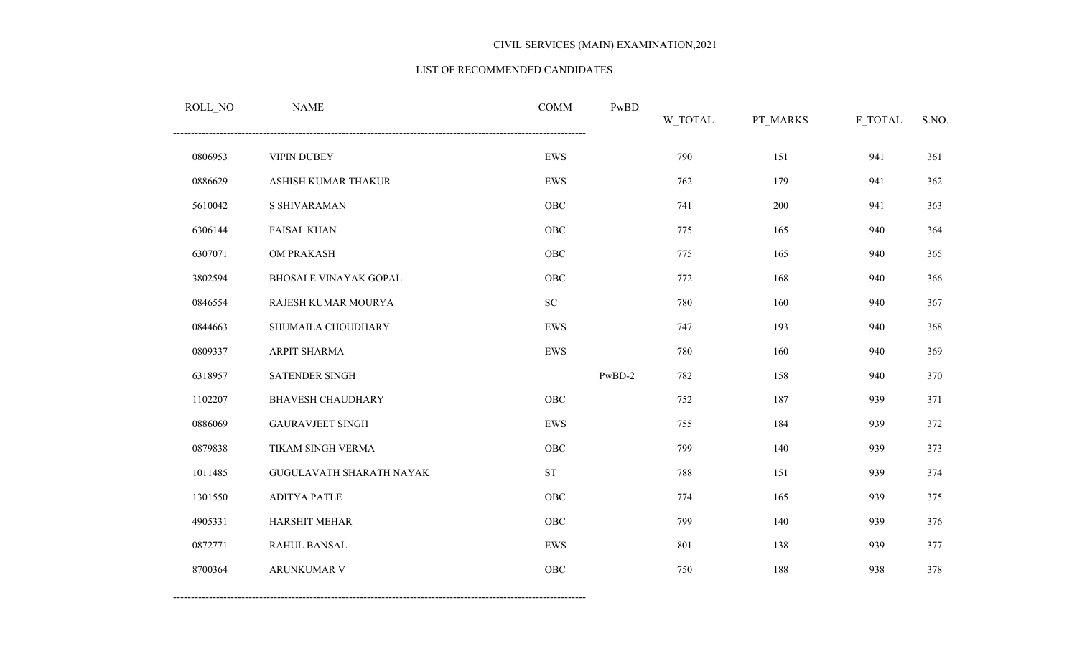#### LIST OF RECOMMENDED CANDIDATES

| ROLL_NO | <b>NAME</b>                     | <b>COMM</b>        | PwBD   | W_TOTAL | PT_MARKS | F_TOTAL | S.NO. |
|---------|---------------------------------|--------------------|--------|---------|----------|---------|-------|
| 0806953 | <b>VIPIN DUBEY</b>              | ${\rm EWS}$        |        | 790     | 151      | 941     | 361   |
| 0886629 | ASHISH KUMAR THAKUR             | ${\rm EWS}$        |        | 762     | 179      | 941     | 362   |
| 5610042 | <b>S SHIVARAMAN</b>             | OBC                |        | 741     | 200      | 941     | 363   |
| 6306144 | <b>FAISAL KHAN</b>              | OBC                |        | 775     | 165      | 940     | 364   |
| 6307071 | OM PRAKASH                      | OBC                |        | 775     | 165      | 940     | 365   |
| 3802594 | <b>BHOSALE VINAYAK GOPAL</b>    | OBC                |        | 772     | 168      | 940     | 366   |
| 0846554 | RAJESH KUMAR MOURYA             | ${\rm SC}$         |        | 780     | 160      | 940     | 367   |
| 0844663 | SHUMAILA CHOUDHARY              | ${\rm EWS}$        |        | 747     | 193      | 940     | 368   |
| 0809337 | ARPIT SHARMA                    | ${\rm EWS}$        |        | 780     | 160      | 940     | 369   |
| 6318957 | SATENDER SINGH                  |                    | PwBD-2 | 782     | 158      | 940     | 370   |
| 1102207 | <b>BHAVESH CHAUDHARY</b>        | OBC                |        | 752     | 187      | 939     | 371   |
| 0886069 | <b>GAURAVJEET SINGH</b>         | ${\rm EWS}$        |        | 755     | 184      | 939     | 372   |
| 0879838 | TIKAM SINGH VERMA               | OBC                |        | 799     | 140      | 939     | 373   |
| 1011485 | <b>GUGULAVATH SHARATH NAYAK</b> | ${\cal S}{\cal T}$ |        | 788     | 151      | 939     | 374   |
| 1301550 | <b>ADITYA PATLE</b>             | OBC                |        | 774     | 165      | 939     | 375   |
| 4905331 | HARSHIT MEHAR                   | ${\rm OBC}$        |        | 799     | 140      | 939     | 376   |
| 0872771 | RAHUL BANSAL                    | ${\rm EWS}$        |        | 801     | 138      | 939     | 377   |
| 8700364 | ARUNKUMAR V                     | OBC                |        | 750     | 188      | 938     | 378   |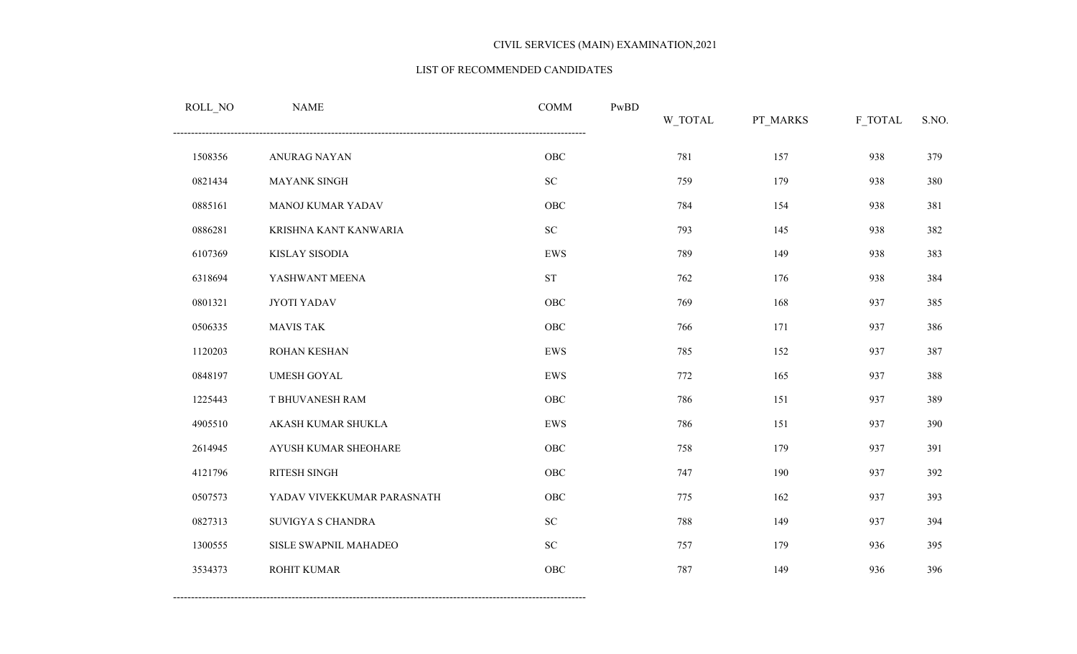#### LIST OF RECOMMENDED CANDIDATES

| ROLL_NO | <b>NAME</b>                | <b>COMM</b>        | PwBD | W_TOTAL | PT_MARKS | F_TOTAL | S.NO. |
|---------|----------------------------|--------------------|------|---------|----------|---------|-------|
| 1508356 | ANURAG NAYAN               | ${\rm OBC}$        |      | 781     | 157      | 938     | 379   |
| 0821434 | MAYANK SINGH               | ${\rm SC}$         |      | 759     | 179      | 938     | 380   |
| 0885161 | MANOJ KUMAR YADAV          | OBC                |      | 784     | 154      | 938     | 381   |
| 0886281 | KRISHNA KANT KANWARIA      | ${\rm SC}$         |      | 793     | 145      | 938     | 382   |
| 6107369 | <b>KISLAY SISODIA</b>      | EWS                |      | 789     | 149      | 938     | 383   |
| 6318694 | YASHWANT MEENA             | ${\cal S}{\cal T}$ |      | 762     | 176      | 938     | 384   |
| 0801321 | JYOTI YADAV                | OBC                |      | 769     | 168      | 937     | 385   |
| 0506335 | <b>MAVIS TAK</b>           | <b>OBC</b>         |      | 766     | 171      | 937     | 386   |
| 1120203 | ROHAN KESHAN               | ${\rm EWS}$        |      | 785     | 152      | 937     | 387   |
| 0848197 | <b>UMESH GOYAL</b>         | ${\rm EWS}$        |      | 772     | 165      | 937     | 388   |
| 1225443 | T BHUVANESH RAM            | OBC                |      | 786     | 151      | 937     | 389   |
| 4905510 | AKASH KUMAR SHUKLA         | ${\rm EWS}$        |      | 786     | 151      | 937     | 390   |
| 2614945 | AYUSH KUMAR SHEOHARE       | OBC                |      | 758     | 179      | 937     | 391   |
| 4121796 | RITESH SINGH               | <b>OBC</b>         |      | 747     | 190      | 937     | 392   |
| 0507573 | YADAV VIVEKKUMAR PARASNATH | OBC                |      | 775     | 162      | 937     | 393   |
| 0827313 | SUVIGYA S CHANDRA          | ${\rm SC}$         |      | 788     | 149      | 937     | 394   |
| 1300555 | SISLE SWAPNIL MAHADEO      | ${\rm SC}$         |      | 757     | 179      | 936     | 395   |
| 3534373 | ROHIT KUMAR                | OBC                |      | 787     | 149      | 936     | 396   |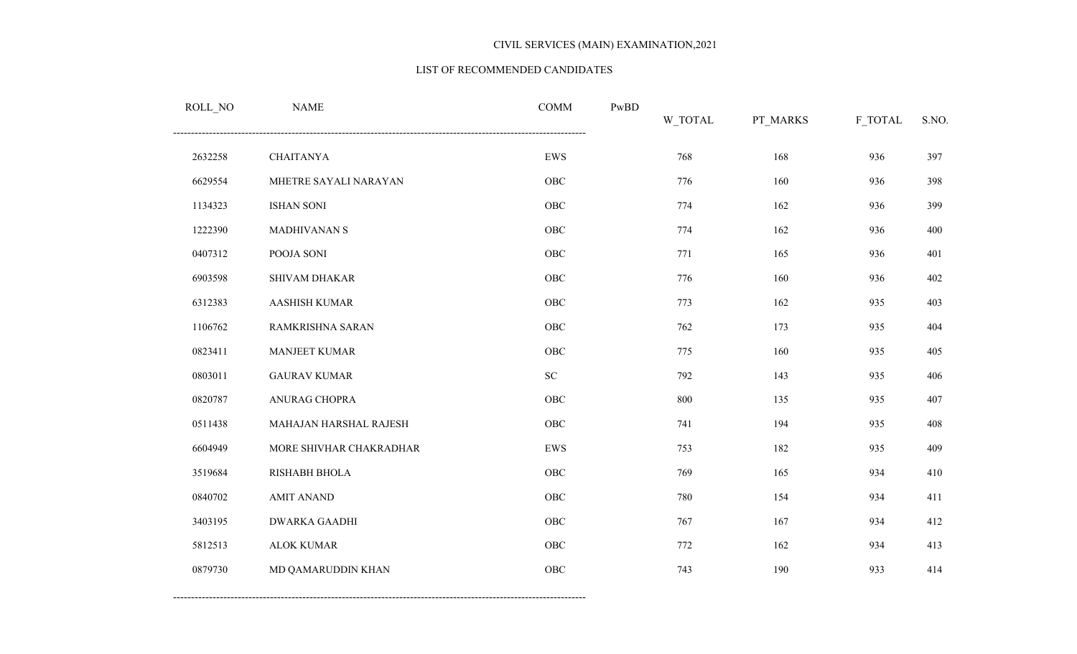#### LIST OF RECOMMENDED CANDIDATES

| ROLL_NO | <b>NAME</b>             | <b>COMM</b> | PwBD | W_TOTAL | PT_MARKS | F_TOTAL | S.NO. |
|---------|-------------------------|-------------|------|---------|----------|---------|-------|
| 2632258 | <b>CHAITANYA</b>        | ${\rm EWS}$ |      | 768     | 168      | 936     | 397   |
| 6629554 | MHETRE SAYALI NARAYAN   | OBC         |      | 776     | 160      | 936     | 398   |
| 1134323 | <b>ISHAN SONI</b>       | OBC         |      | 774     | 162      | 936     | 399   |
| 1222390 | MADHIVANAN S            | OBC         |      | 774     | 162      | 936     | 400   |
| 0407312 | POOJA SONI              | OBC         |      | 771     | 165      | 936     | 401   |
| 6903598 | SHIVAM DHAKAR           | OBC         |      | 776     | 160      | 936     | 402   |
| 6312383 | <b>AASHISH KUMAR</b>    | OBC         |      | 773     | 162      | 935     | 403   |
| 1106762 | RAMKRISHNA SARAN        | OBC         |      | 762     | 173      | 935     | 404   |
| 0823411 | MANJEET KUMAR           | OBC         |      | 775     | 160      | 935     | 405   |
| 0803011 | <b>GAURAV KUMAR</b>     | ${\rm SC}$  |      | 792     | 143      | 935     | 406   |
| 0820787 | ANURAG CHOPRA           | OBC         |      | 800     | 135      | 935     | 407   |
| 0511438 | MAHAJAN HARSHAL RAJESH  | OBC         |      | 741     | 194      | 935     | 408   |
| 6604949 | MORE SHIVHAR CHAKRADHAR | ${\rm EWS}$ |      | 753     | 182      | 935     | 409   |
| 3519684 | RISHABH BHOLA           | OBC         |      | 769     | 165      | 934     | 410   |
| 0840702 | <b>AMIT ANAND</b>       | OBC         |      | 780     | 154      | 934     | 411   |
| 3403195 | <b>DWARKA GAADHI</b>    | OBC         |      | 767     | 167      | 934     | 412   |
| 5812513 | <b>ALOK KUMAR</b>       | OBC         |      | 772     | 162      | 934     | 413   |
| 0879730 | MD QAMARUDDIN KHAN      | OBC         |      | 743     | 190      | 933     | 414   |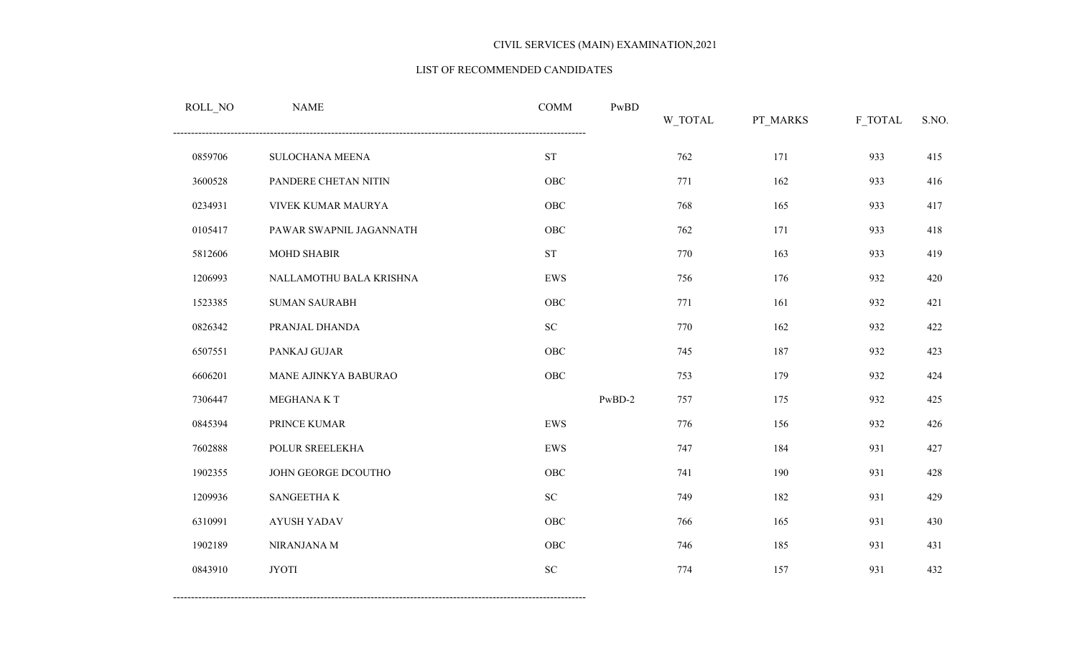#### LIST OF RECOMMENDED CANDIDATES

| $\textsc{ROLL}\xspace_\textit{NO}$ | <b>NAME</b>             | <b>COMM</b>         | PwBD     | W_TOTAL | PT_MARKS | F_TOTAL | S.NO. |
|------------------------------------|-------------------------|---------------------|----------|---------|----------|---------|-------|
| 0859706                            | SULOCHANA MEENA         | $\operatorname{ST}$ |          | 762     | 171      | 933     | 415   |
| 3600528                            | PANDERE CHETAN NITIN    | OBC                 |          | 771     | 162      | 933     | 416   |
| 0234931                            | VIVEK KUMAR MAURYA      | ${\rm OBC}$         |          | 768     | 165      | 933     | 417   |
| 0105417                            | PAWAR SWAPNIL JAGANNATH | ${\rm OBC}$         |          | 762     | 171      | 933     | 418   |
| 5812606                            | MOHD SHABIR             | ${\rm ST}$          |          | 770     | 163      | 933     | 419   |
| 1206993                            | NALLAMOTHU BALA KRISHNA | ${\rm EWS}$         |          | 756     | 176      | 932     | 420   |
| 1523385                            | <b>SUMAN SAURABH</b>    | OBC                 |          | 771     | 161      | 932     | 421   |
| 0826342                            | PRANJAL DHANDA          | ${\rm SC}$          |          | 770     | 162      | 932     | 422   |
| 6507551                            | PANKAJ GUJAR            | OBC                 |          | 745     | 187      | 932     | 423   |
| 6606201                            | MANE AJINKYA BABURAO    | OBC                 |          | 753     | 179      | 932     | 424   |
| 7306447                            | MEGHANA K T             |                     | $PwBD-2$ | 757     | 175      | 932     | 425   |
| 0845394                            | PRINCE KUMAR            | ${\rm EWS}$         |          | 776     | 156      | 932     | 426   |
| 7602888                            | POLUR SREELEKHA         | ${\rm EWS}$         |          | 747     | 184      | 931     | 427   |
| 1902355                            | JOHN GEORGE DCOUTHO     | OBC                 |          | 741     | 190      | 931     | 428   |
| 1209936                            | SANGEETHA K             | ${\rm SC}$          |          | 749     | 182      | 931     | 429   |
| 6310991                            | <b>AYUSH YADAV</b>      | ${\rm OBC}$         |          | 766     | 165      | 931     | 430   |
| 1902189                            | NIRANJANA M             | OBC                 |          | 746     | 185      | 931     | 431   |
| 0843910                            | <b>JYOTI</b>            | ${\rm SC}$          |          | 774     | 157      | 931     | 432   |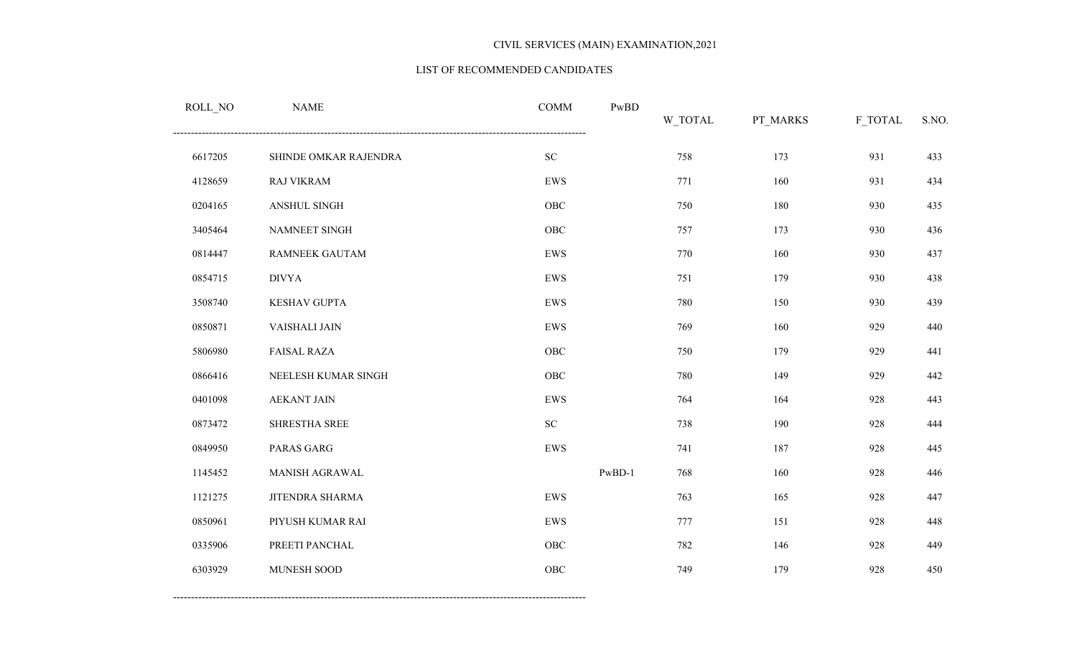#### LIST OF RECOMMENDED CANDIDATES

| ROLL_NO | <b>NAME</b>           | <b>COMM</b> | $\mathbf{PwBD}$ | W_TOTAL | PT_MARKS | F_TOTAL | S.NO. |
|---------|-----------------------|-------------|-----------------|---------|----------|---------|-------|
| 6617205 | SHINDE OMKAR RAJENDRA | ${\rm SC}$  |                 | 758     | 173      | 931     | 433   |
| 4128659 | <b>RAJ VIKRAM</b>     | EWS         |                 | 771     | 160      | 931     | 434   |
| 0204165 | <b>ANSHUL SINGH</b>   | ${\rm OBC}$ |                 | 750     | 180      | 930     | 435   |
| 3405464 | NAMNEET SINGH         | ${\rm OBC}$ |                 | 757     | 173      | 930     | 436   |
| 0814447 | RAMNEEK GAUTAM        | EWS         |                 | 770     | 160      | 930     | 437   |
| 0854715 | <b>DIVYA</b>          | EWS         |                 | 751     | 179      | 930     | 438   |
| 3508740 | KESHAV GUPTA          | EWS         |                 | 780     | 150      | 930     | 439   |
| 0850871 | VAISHALI JAIN         | EWS         |                 | 769     | 160      | 929     | 440   |
| 5806980 | <b>FAISAL RAZA</b>    | ${\rm OBC}$ |                 | 750     | 179      | 929     | 441   |
| 0866416 | NEELESH KUMAR SINGH   | OBC         |                 | 780     | 149      | 929     | 442   |
| 0401098 | <b>AEKANT JAIN</b>    | EWS         |                 | 764     | 164      | 928     | 443   |
| 0873472 | SHRESTHA SREE         | ${\rm SC}$  |                 | 738     | 190      | 928     | 444   |
| 0849950 | PARAS GARG            | EWS         |                 | 741     | 187      | 928     | 445   |
| 1145452 | MANISH AGRAWAL        |             | $PwBD-1$        | 768     | 160      | 928     | 446   |
| 1121275 | JITENDRA SHARMA       | EWS         |                 | 763     | 165      | 928     | 447   |
| 0850961 | PIYUSH KUMAR RAI      | EWS         |                 | 777     | 151      | 928     | 448   |
| 0335906 | PREETI PANCHAL        | ${\rm OBC}$ |                 | 782     | 146      | 928     | 449   |
| 6303929 | MUNESH SOOD           | OBC         |                 | 749     | 179      | 928     | 450   |
|         |                       |             |                 |         |          |         |       |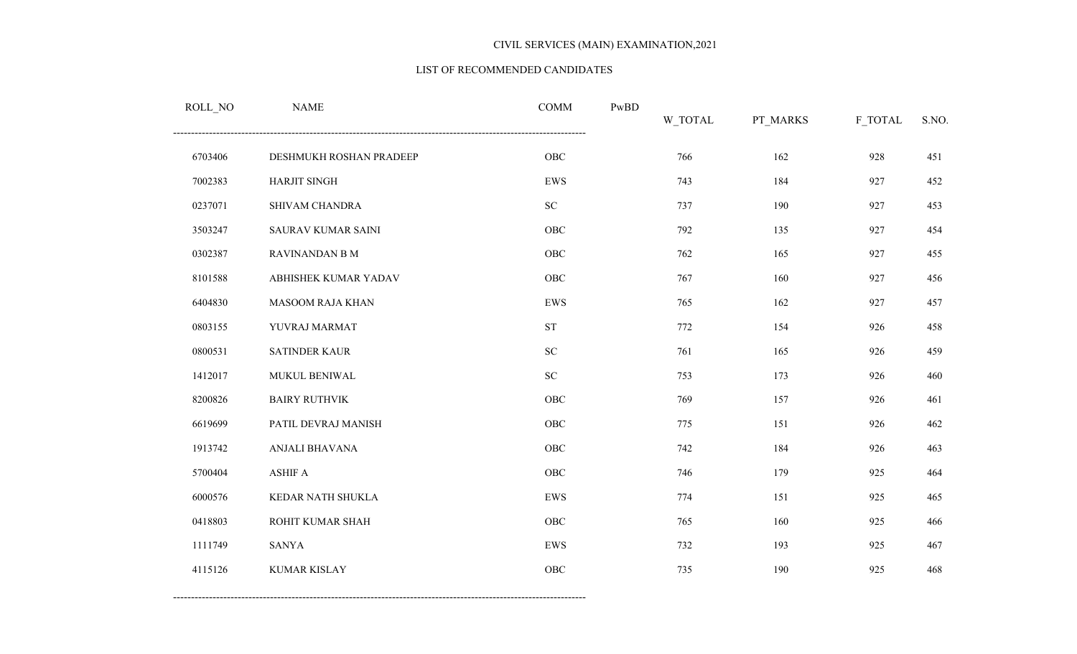#### LIST OF RECOMMENDED CANDIDATES

| ROLL_NO | <b>NAME</b>               | <b>COMM</b>         | PwBD | W_TOTAL | PT_MARKS | F_TOTAL | S.NO. |
|---------|---------------------------|---------------------|------|---------|----------|---------|-------|
| 6703406 | DESHMUKH ROSHAN PRADEEP   | ${\rm OBC}$         |      | 766     | 162      | 928     | 451   |
| 7002383 | HARJIT SINGH              | EWS                 |      | 743     | 184      | 927     | 452   |
| 0237071 | SHIVAM CHANDRA            | ${\rm SC}$          |      | 737     | 190      | 927     | 453   |
| 3503247 | <b>SAURAV KUMAR SAINI</b> | OBC                 |      | 792     | 135      | 927     | 454   |
| 0302387 | RAVINANDAN B M            | OBC                 |      | 762     | 165      | 927     | 455   |
| 8101588 | ABHISHEK KUMAR YADAV      | ${\rm OBC}$         |      | 767     | 160      | 927     | 456   |
| 6404830 | <b>MASOOM RAJA KHAN</b>   | EWS                 |      | 765     | 162      | 927     | 457   |
| 0803155 | YUVRAJ MARMAT             | $\operatorname{ST}$ |      | 772     | 154      | 926     | 458   |
| 0800531 | <b>SATINDER KAUR</b>      | ${\rm SC}$          |      | 761     | 165      | 926     | 459   |
| 1412017 | MUKUL BENIWAL             | $\rm SC$            |      | 753     | 173      | 926     | 460   |
| 8200826 | <b>BAIRY RUTHVIK</b>      | OBC                 |      | 769     | 157      | 926     | 461   |
| 6619699 | PATIL DEVRAJ MANISH       | ${\rm OBC}$         |      | 775     | 151      | 926     | 462   |
| 1913742 | ANJALI BHAVANA            | ${\rm OBC}$         |      | 742     | 184      | 926     | 463   |
| 5700404 | <b>ASHIF A</b>            | ${\rm OBC}$         |      | 746     | 179      | 925     | 464   |
| 6000576 | KEDAR NATH SHUKLA         | <b>EWS</b>          |      | 774     | 151      | 925     | 465   |
| 0418803 | ROHIT KUMAR SHAH          | OBC                 |      | 765     | 160      | 925     | 466   |
| 1111749 | <b>SANYA</b>              | ${\rm EWS}$         |      | 732     | 193      | 925     | 467   |
| 4115126 | <b>KUMAR KISLAY</b>       | OBC                 |      | 735     | 190      | 925     | 468   |
|         |                           |                     |      |         |          |         |       |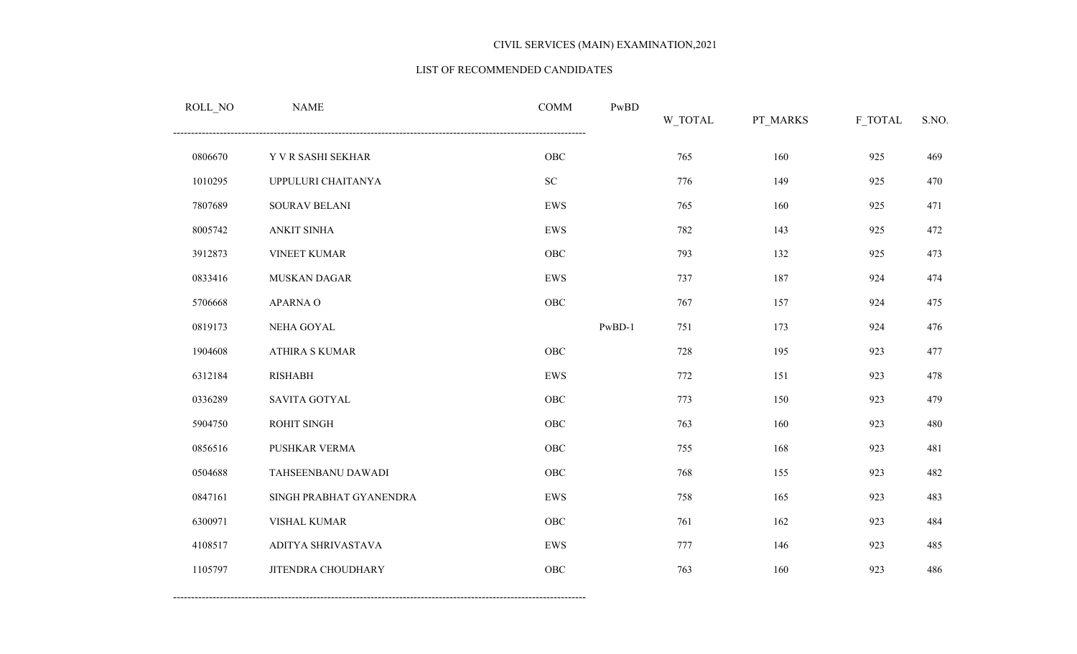#### LIST OF RECOMMENDED CANDIDATES

| ROLL_NO | <b>NAME</b>               | COMM        | PwBD     | W_TOTAL | PT_MARKS | F_TOTAL | S.NO. |
|---------|---------------------------|-------------|----------|---------|----------|---------|-------|
| 0806670 | Y V R SASHI SEKHAR        | ${\rm OBC}$ |          | 765     | 160      | 925     | 469   |
| 1010295 | UPPULURI CHAITANYA        | ${\rm SC}$  |          | 776     | 149      | 925     | 470   |
| 7807689 | SOURAV BELANI             | EWS         |          | 765     | 160      | 925     | 471   |
| 8005742 | ANKIT SINHA               | ${\rm EWS}$ |          | 782     | 143      | 925     | 472   |
| 3912873 | VINEET KUMAR              | OBC         |          | 793     | 132      | 925     | 473   |
| 0833416 | MUSKAN DAGAR              | ${\rm EWS}$ |          | 737     | 187      | 924     | 474   |
| 5706668 | APARNA O                  | ${\rm OBC}$ |          | 767     | 157      | 924     | 475   |
| 0819173 | NEHA GOYAL                |             | $PwBD-1$ | 751     | 173      | 924     | 476   |
| 1904608 | <b>ATHIRA S KUMAR</b>     | ${\rm OBC}$ |          | 728     | 195      | 923     | 477   |
| 6312184 | <b>RISHABH</b>            | ${\rm EWS}$ |          | 772     | 151      | 923     | 478   |
| 0336289 | <b>SAVITA GOTYAL</b>      | ${\rm OBC}$ |          | 773     | 150      | 923     | 479   |
| 5904750 | ROHIT SINGH               | ${\rm OBC}$ |          | 763     | 160      | 923     | 480   |
| 0856516 | PUSHKAR VERMA             | ${\rm OBC}$ |          | 755     | 168      | 923     | 481   |
| 0504688 | TAHSEENBANU DAWADI        | ${\rm OBC}$ |          | 768     | 155      | 923     | 482   |
| 0847161 | SINGH PRABHAT GYANENDRA   | ${\rm EWS}$ |          | 758     | 165      | 923     | 483   |
| 6300971 | VISHAL KUMAR              | ${\rm OBC}$ |          | 761     | 162      | 923     | 484   |
| 4108517 | ADITYA SHRIVASTAVA        | ${\rm EWS}$ |          | 777     | 146      | 923     | 485   |
| 1105797 | <b>JITENDRA CHOUDHARY</b> | ${\rm OBC}$ |          | 763     | 160      | 923     | 486   |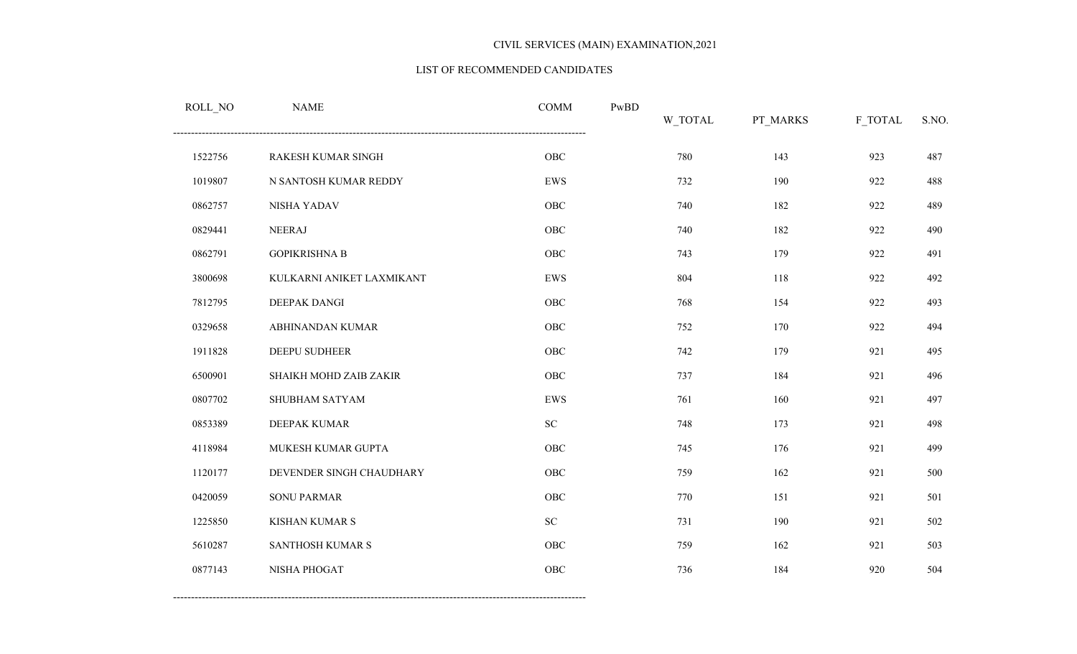#### LIST OF RECOMMENDED CANDIDATES

| ROLL_NO | <b>NAME</b>               | <b>COMM</b> | PwBD | W_TOTAL | PT_MARKS | F_TOTAL | S.NO. |
|---------|---------------------------|-------------|------|---------|----------|---------|-------|
| 1522756 | RAKESH KUMAR SINGH        | OBC         |      | 780     | 143      | 923     | 487   |
| 1019807 | N SANTOSH KUMAR REDDY     | EWS         |      | 732     | 190      | 922     | 488   |
| 0862757 | NISHA YADAV               | OBC         |      | 740     | 182      | 922     | 489   |
| 0829441 | <b>NEERAJ</b>             | ${\rm OBC}$ |      | 740     | 182      | 922     | 490   |
| 0862791 | <b>GOPIKRISHNA B</b>      | OBC         |      | 743     | 179      | 922     | 491   |
| 3800698 | KULKARNI ANIKET LAXMIKANT | EWS         |      | 804     | 118      | 922     | 492   |
| 7812795 | DEEPAK DANGI              | OBC         |      | 768     | 154      | 922     | 493   |
| 0329658 | ABHINANDAN KUMAR          | OBC         |      | 752     | 170      | 922     | 494   |
| 1911828 | DEEPU SUDHEER             | OBC         |      | 742     | 179      | 921     | 495   |
| 6500901 | SHAIKH MOHD ZAIB ZAKIR    | OBC         |      | 737     | 184      | 921     | 496   |
| 0807702 | SHUBHAM SATYAM            | EWS         |      | 761     | 160      | 921     | 497   |
| 0853389 | DEEPAK KUMAR              | ${\rm SC}$  |      | 748     | 173      | 921     | 498   |
| 4118984 | MUKESH KUMAR GUPTA        | OBC         |      | 745     | 176      | 921     | 499   |
| 1120177 | DEVENDER SINGH CHAUDHARY  | OBC         |      | 759     | 162      | 921     | 500   |
| 0420059 | <b>SONU PARMAR</b>        | ${\rm OBC}$ |      | 770     | 151      | 921     | 501   |
| 1225850 | KISHAN KUMAR S            | ${\rm SC}$  |      | 731     | 190      | 921     | 502   |
| 5610287 | SANTHOSH KUMAR S          | OBC         |      | 759     | 162      | 921     | 503   |
| 0877143 | NISHA PHOGAT              | OBC         |      | 736     | 184      | 920     | 504   |
|         |                           |             |      |         |          |         |       |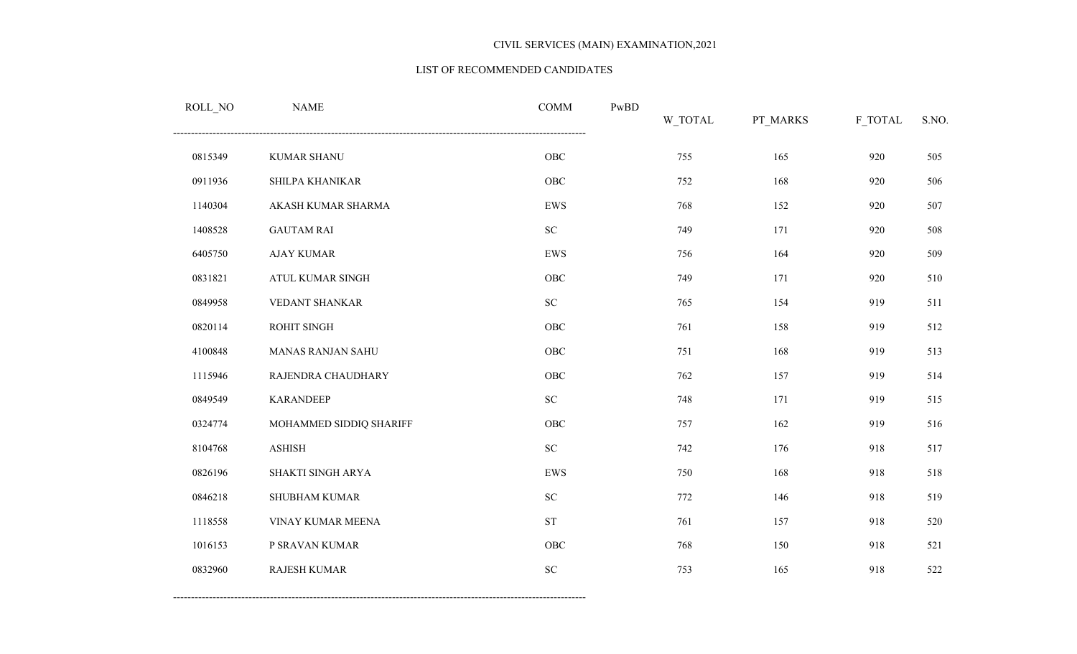#### LIST OF RECOMMENDED CANDIDATES

| ROLL_NO | <b>NAME</b>              | <b>COMM</b>        | $\mathbf{PwBD}$ | W_TOTAL | PT_MARKS | F_TOTAL | S.NO. |
|---------|--------------------------|--------------------|-----------------|---------|----------|---------|-------|
| 0815349 | <b>KUMAR SHANU</b>       | OBC                |                 | 755     | 165      | 920     | 505   |
| 0911936 | SHILPA KHANIKAR          | OBC                |                 | 752     | 168      | 920     | 506   |
| 1140304 | AKASH KUMAR SHARMA       | EWS                |                 | 768     | 152      | 920     | 507   |
| 1408528 | <b>GAUTAM RAI</b>        | ${\rm SC}$         |                 | 749     | 171      | 920     | 508   |
| 6405750 | <b>AJAY KUMAR</b>        | EWS                |                 | 756     | 164      | 920     | 509   |
| 0831821 | ATUL KUMAR SINGH         | OBC                |                 | 749     | 171      | 920     | 510   |
| 0849958 | VEDANT SHANKAR           | ${\rm SC}$         |                 | 765     | 154      | 919     | 511   |
| 0820114 | ROHIT SINGH              | ${\rm OBC}$        |                 | 761     | 158      | 919     | 512   |
| 4100848 | <b>MANAS RANJAN SAHU</b> | OBC                |                 | 751     | 168      | 919     | 513   |
| 1115946 | RAJENDRA CHAUDHARY       | OBC                |                 | 762     | 157      | 919     | 514   |
| 0849549 | <b>KARANDEEP</b>         | ${\rm SC}$         |                 | 748     | 171      | 919     | 515   |
| 0324774 | MOHAMMED SIDDIQ SHARIFF  | ${\rm OBC}$        |                 | 757     | 162      | 919     | 516   |
| 8104768 | <b>ASHISH</b>            | ${\rm SC}$         |                 | 742     | 176      | 918     | 517   |
| 0826196 | SHAKTI SINGH ARYA        | EWS                |                 | 750     | 168      | 918     | 518   |
| 0846218 | <b>SHUBHAM KUMAR</b>     | ${\rm SC}$         |                 | 772     | 146      | 918     | 519   |
| 1118558 | VINAY KUMAR MEENA        | ${\cal S}{\cal T}$ |                 | 761     | 157      | 918     | 520   |
| 1016153 | P SRAVAN KUMAR           | OBC                |                 | 768     | 150      | 918     | 521   |
| 0832960 | RAJESH KUMAR             | <b>SC</b>          |                 | 753     | 165      | 918     | 522   |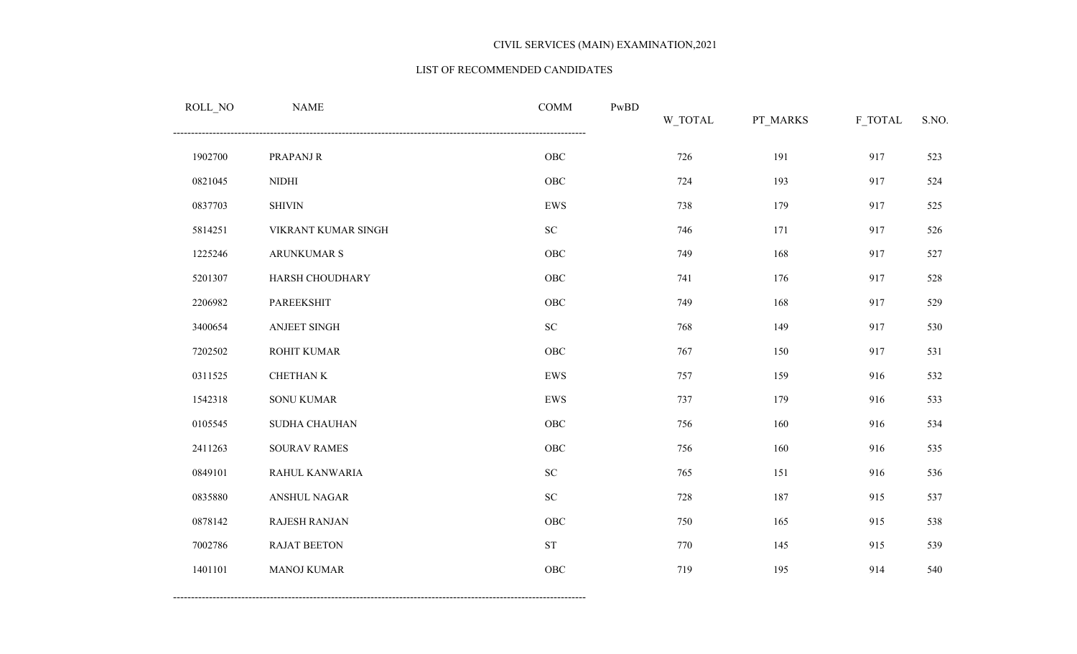#### LIST OF RECOMMENDED CANDIDATES

| ROLL_NO | <b>NAME</b>          | <b>COMM</b> | $\mathbf{PwBD}$ | W_TOTAL | PT_MARKS | F_TOTAL | S.NO. |
|---------|----------------------|-------------|-----------------|---------|----------|---------|-------|
| 1902700 | PRAPANJ R            | ${\rm OBC}$ |                 | 726     | 191      | 917     | 523   |
| 0821045 | <b>NIDHI</b>         | ${\rm OBC}$ |                 | 724     | 193      | 917     | 524   |
| 0837703 | <b>SHIVIN</b>        | EWS         |                 | 738     | 179      | 917     | 525   |
| 5814251 | VIKRANT KUMAR SINGH  | ${\rm SC}$  |                 | 746     | 171      | 917     | 526   |
| 1225246 | ARUNKUMAR S          | OBC         |                 | 749     | 168      | 917     | 527   |
| 5201307 | HARSH CHOUDHARY      | ${\rm OBC}$ |                 | 741     | 176      | 917     | 528   |
| 2206982 | PAREEKSHIT           | ${\rm OBC}$ |                 | 749     | 168      | 917     | 529   |
| 3400654 | ANJEET SINGH         | ${\rm SC}$  |                 | 768     | 149      | 917     | 530   |
| 7202502 | ROHIT KUMAR          | ${\rm OBC}$ |                 | 767     | 150      | 917     | 531   |
| 0311525 | CHETHAN K            | EWS         |                 | 757     | 159      | 916     | 532   |
| 1542318 | <b>SONU KUMAR</b>    | EWS         |                 | 737     | 179      | 916     | 533   |
| 0105545 | SUDHA CHAUHAN        | ${\rm OBC}$ |                 | 756     | 160      | 916     | 534   |
| 2411263 | <b>SOURAV RAMES</b>  | ${\rm OBC}$ |                 | 756     | 160      | 916     | 535   |
| 0849101 | RAHUL KANWARIA       | ${\rm SC}$  |                 | 765     | 151      | 916     | 536   |
| 0835880 | ANSHUL NAGAR         | ${\rm SC}$  |                 | 728     | 187      | 915     | 537   |
| 0878142 | <b>RAJESH RANJAN</b> | ${\rm OBC}$ |                 | 750     | 165      | 915     | 538   |
| 7002786 | RAJAT BEETON         | ${\rm ST}$  |                 | 770     | 145      | 915     | 539   |
| 1401101 | <b>MANOJ KUMAR</b>   | ${\rm OBC}$ |                 | 719     | 195      | 914     | 540   |
|         |                      |             |                 |         |          |         |       |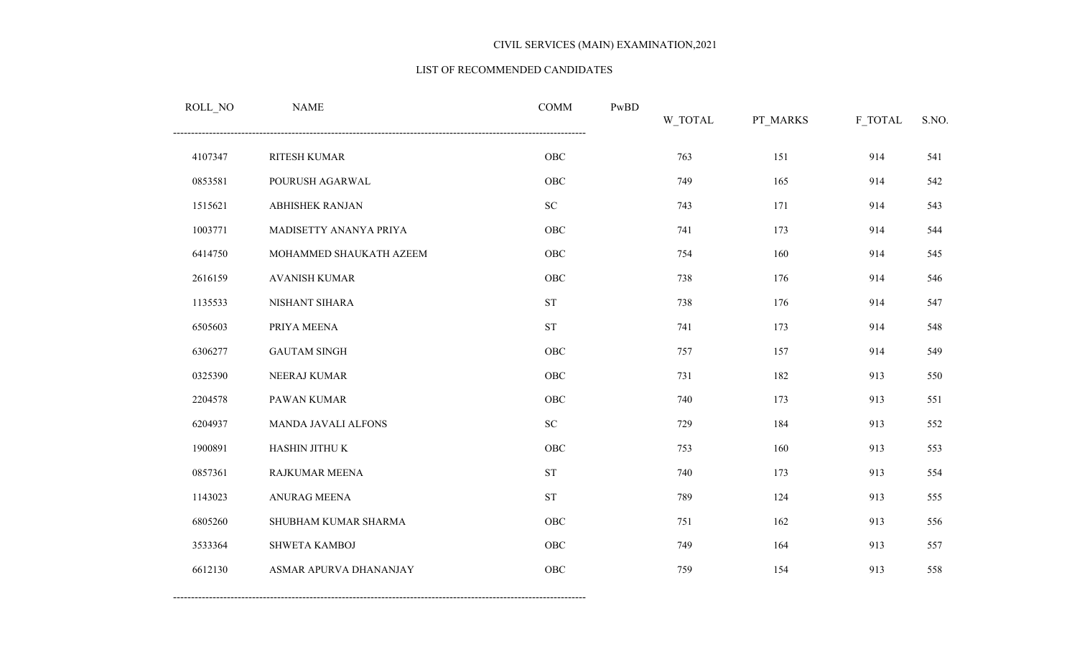#### LIST OF RECOMMENDED CANDIDATES

| ROLL_NO | <b>NAME</b>             | <b>COMM</b>        | PwBD | W_TOTAL | PT_MARKS | F_TOTAL | S.NO. |
|---------|-------------------------|--------------------|------|---------|----------|---------|-------|
| 4107347 | RITESH KUMAR            | ${\rm OBC}$        |      | 763     | 151      | 914     | 541   |
| 0853581 | POURUSH AGARWAL         | OBC                |      | 749     | 165      | 914     | 542   |
| 1515621 | <b>ABHISHEK RANJAN</b>  | ${\rm SC}$         |      | 743     | 171      | 914     | 543   |
| 1003771 | MADISETTY ANANYA PRIYA  | OBC                |      | 741     | 173      | 914     | 544   |
| 6414750 | MOHAMMED SHAUKATH AZEEM | OBC                |      | 754     | 160      | 914     | 545   |
| 2616159 | <b>AVANISH KUMAR</b>    | OBC                |      | 738     | 176      | 914     | 546   |
| 1135533 | NISHANT SIHARA          | ${\cal S}{\cal T}$ |      | 738     | 176      | 914     | 547   |
| 6505603 | PRIYA MEENA             | ${\cal S}{\cal T}$ |      | 741     | 173      | 914     | 548   |
| 6306277 | <b>GAUTAM SINGH</b>     | OBC                |      | 757     | 157      | 914     | 549   |
| 0325390 | NEERAJ KUMAR            | OBC                |      | 731     | 182      | 913     | 550   |
| 2204578 | PAWAN KUMAR             | OBC                |      | 740     | 173      | 913     | 551   |
| 6204937 | MANDA JAVALI ALFONS     | ${\rm SC}$         |      | 729     | 184      | 913     | 552   |
| 1900891 | HASHIN JITHU K          | OBC                |      | 753     | 160      | 913     | 553   |
| 0857361 | RAJKUMAR MEENA          | ${\cal S}{\cal T}$ |      | 740     | 173      | 913     | 554   |
| 1143023 | ANURAG MEENA            | ${\cal S}{\cal T}$ |      | 789     | 124      | 913     | 555   |
| 6805260 | SHUBHAM KUMAR SHARMA    | OBC                |      | 751     | 162      | 913     | 556   |
| 3533364 | SHWETA KAMBOJ           | OBC                |      | 749     | 164      | 913     | 557   |
| 6612130 | ASMAR APURVA DHANANJAY  | OBC                |      | 759     | 154      | 913     | 558   |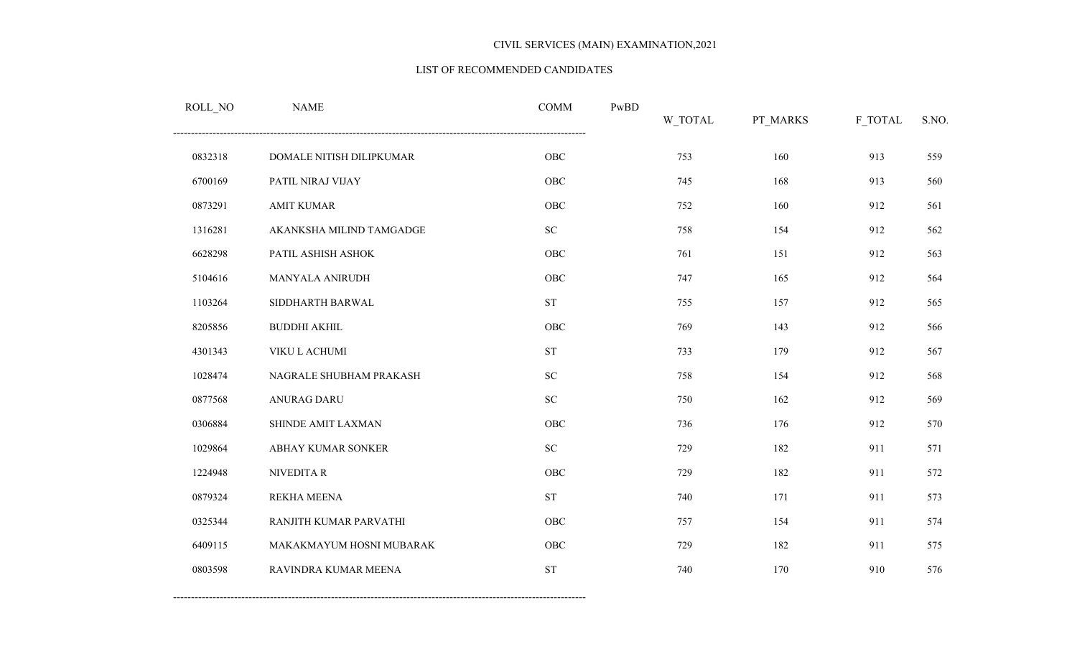#### LIST OF RECOMMENDED CANDIDATES

| ROLL_NO | <b>NAME</b>              | <b>COMM</b>        | PwBD | W_TOTAL | PT_MARKS | F_TOTAL | S.NO. |
|---------|--------------------------|--------------------|------|---------|----------|---------|-------|
| 0832318 | DOMALE NITISH DILIPKUMAR | OBC                |      | 753     | 160      | 913     | 559   |
| 6700169 | PATIL NIRAJ VIJAY        | OBC                |      | 745     | 168      | 913     | 560   |
| 0873291 | <b>AMIT KUMAR</b>        | OBC                |      | 752     | 160      | 912     | 561   |
| 1316281 | AKANKSHA MILIND TAMGADGE | <b>SC</b>          |      | 758     | 154      | 912     | 562   |
| 6628298 | PATIL ASHISH ASHOK       | OBC                |      | 761     | 151      | 912     | 563   |
| 5104616 | MANYALA ANIRUDH          | OBC                |      | 747     | 165      | 912     | 564   |
| 1103264 | SIDDHARTH BARWAL         | ${\cal S}{\cal T}$ |      | 755     | 157      | 912     | 565   |
| 8205856 | <b>BUDDHI AKHIL</b>      | OBC                |      | 769     | 143      | 912     | 566   |
| 4301343 | VIKU L ACHUMI            | <b>ST</b>          |      | 733     | 179      | 912     | 567   |
| 1028474 | NAGRALE SHUBHAM PRAKASH  | ${\rm SC}$         |      | 758     | 154      | 912     | 568   |
| 0877568 | <b>ANURAG DARU</b>       | ${\bf SC}$         |      | 750     | 162      | 912     | 569   |
| 0306884 | SHINDE AMIT LAXMAN       | OBC                |      | 736     | 176      | 912     | 570   |
| 1029864 | ABHAY KUMAR SONKER       | <b>SC</b>          |      | 729     | 182      | 911     | 571   |
| 1224948 | NIVEDITA R               | OBC                |      | 729     | 182      | 911     | 572   |
| 0879324 | REKHA MEENA              | ${\cal S}{\cal T}$ |      | 740     | 171      | 911     | 573   |
| 0325344 | RANJITH KUMAR PARVATHI   | OBC                |      | 757     | 154      | 911     | 574   |
| 6409115 | MAKAKMAYUM HOSNI MUBARAK | OBC                |      | 729     | 182      | 911     | 575   |
| 0803598 | RAVINDRA KUMAR MEENA     | <b>ST</b>          |      | 740     | 170      | 910     | 576   |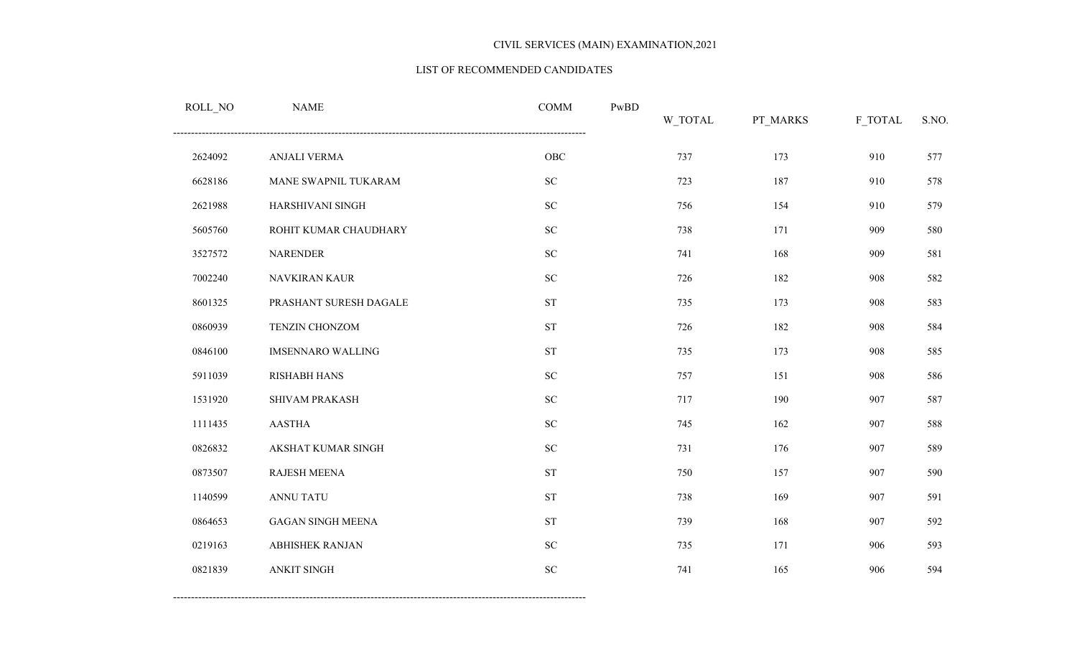#### LIST OF RECOMMENDED CANDIDATES

| ROLL_NO | <b>NAME</b>              | <b>COMM</b>        | PwBD | W_TOTAL | PT_MARKS | F_TOTAL | S.NO. |
|---------|--------------------------|--------------------|------|---------|----------|---------|-------|
| 2624092 | ANJALI VERMA             | ${\rm OBC}$        |      | 737     | 173      | 910     | 577   |
| 6628186 | MANE SWAPNIL TUKARAM     | ${\rm SC}$         |      | 723     | 187      | 910     | 578   |
| 2621988 | HARSHIVANI SINGH         | ${\rm SC}$         |      | 756     | 154      | 910     | 579   |
| 5605760 | ROHIT KUMAR CHAUDHARY    | ${\rm SC}$         |      | 738     | 171      | 909     | 580   |
| 3527572 | <b>NARENDER</b>          | ${\rm SC}$         |      | 741     | 168      | 909     | 581   |
| 7002240 | NAVKIRAN KAUR            | ${\rm SC}$         |      | 726     | 182      | 908     | 582   |
| 8601325 | PRASHANT SURESH DAGALE   | ${\cal S}{\cal T}$ |      | 735     | 173      | 908     | 583   |
| 0860939 | TENZIN CHONZOM           | ${\cal S}{\cal T}$ |      | 726     | 182      | 908     | 584   |
| 0846100 | <b>IMSENNARO WALLING</b> | ${\cal S}{\cal T}$ |      | 735     | 173      | 908     | 585   |
| 5911039 | <b>RISHABH HANS</b>      | ${\rm SC}$         |      | 757     | 151      | 908     | 586   |
| 1531920 | SHIVAM PRAKASH           | ${\rm SC}$         |      | 717     | 190      | 907     | 587   |
| 1111435 | <b>AASTHA</b>            | ${\rm SC}$         |      | 745     | 162      | 907     | 588   |
| 0826832 | AKSHAT KUMAR SINGH       | ${\rm SC}$         |      | 731     | 176      | 907     | 589   |
| 0873507 | RAJESH MEENA             | ${\cal S}{\cal T}$ |      | 750     | 157      | 907     | 590   |
| 1140599 | <b>ANNU TATU</b>         | ${\cal S}{\cal T}$ |      | 738     | 169      | 907     | 591   |
| 0864653 | <b>GAGAN SINGH MEENA</b> | ${\cal S}{\cal T}$ |      | 739     | 168      | 907     | 592   |
| 0219163 | <b>ABHISHEK RANJAN</b>   | ${\rm SC}$         |      | 735     | 171      | 906     | 593   |
| 0821839 | <b>ANKIT SINGH</b>       | ${\rm SC}$         |      | 741     | 165      | 906     | 594   |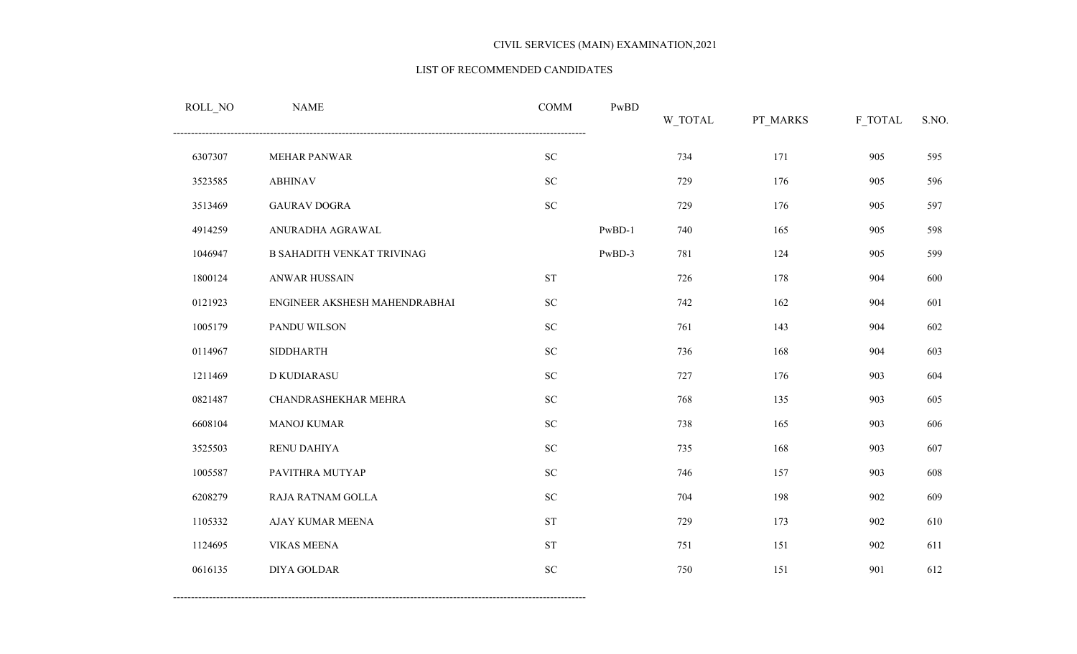#### LIST OF RECOMMENDED CANDIDATES

| ROLL_NO | <b>NAME</b>                   | <b>COMM</b>        | PwBD     | W_TOTAL | PT_MARKS | F_TOTAL | S.NO. |
|---------|-------------------------------|--------------------|----------|---------|----------|---------|-------|
| 6307307 | MEHAR PANWAR                  | ${\rm SC}$         |          | 734     | 171      | 905     | 595   |
| 3523585 | <b>ABHINAV</b>                | ${\rm SC}$         |          | 729     | 176      | 905     | 596   |
| 3513469 | <b>GAURAV DOGRA</b>           | ${\rm SC}$         |          | 729     | 176      | 905     | 597   |
| 4914259 | ANURADHA AGRAWAL              |                    | $PwBD-1$ | 740     | 165      | 905     | 598   |
| 1046947 | B SAHADITH VENKAT TRIVINAG    |                    | PwBD-3   | 781     | 124      | 905     | 599   |
| 1800124 | ANWAR HUSSAIN                 | ${\cal S}{\cal T}$ |          | 726     | 178      | 904     | 600   |
| 0121923 | ENGINEER AKSHESH MAHENDRABHAI | ${\rm SC}$         |          | 742     | 162      | 904     | 601   |
| 1005179 | PANDU WILSON                  | ${\rm SC}$         |          | 761     | 143      | 904     | 602   |
| 0114967 | <b>SIDDHARTH</b>              | ${\rm SC}$         |          | 736     | 168      | 904     | 603   |
| 1211469 | D KUDIARASU                   | ${\rm SC}$         |          | 727     | 176      | 903     | 604   |
| 0821487 | CHANDRASHEKHAR MEHRA          | ${\rm SC}$         |          | 768     | 135      | 903     | 605   |
| 6608104 | <b>MANOJ KUMAR</b>            | ${\rm SC}$         |          | 738     | 165      | 903     | 606   |
| 3525503 | RENU DAHIYA                   | ${\rm SC}$         |          | 735     | 168      | 903     | 607   |
| 1005587 | PAVITHRA MUTYAP               | ${\rm SC}$         |          | 746     | 157      | 903     | 608   |
| 6208279 | RAJA RATNAM GOLLA             | ${\rm SC}$         |          | 704     | 198      | 902     | 609   |
| 1105332 | AJAY KUMAR MEENA              | <b>ST</b>          |          | 729     | 173      | 902     | 610   |
| 1124695 | <b>VIKAS MEENA</b>            | ${\cal S}{\cal T}$ |          | 751     | 151      | 902     | 611   |
| 0616135 | <b>DIYA GOLDAR</b>            | ${\rm SC}$         |          | 750     | 151      | 901     | 612   |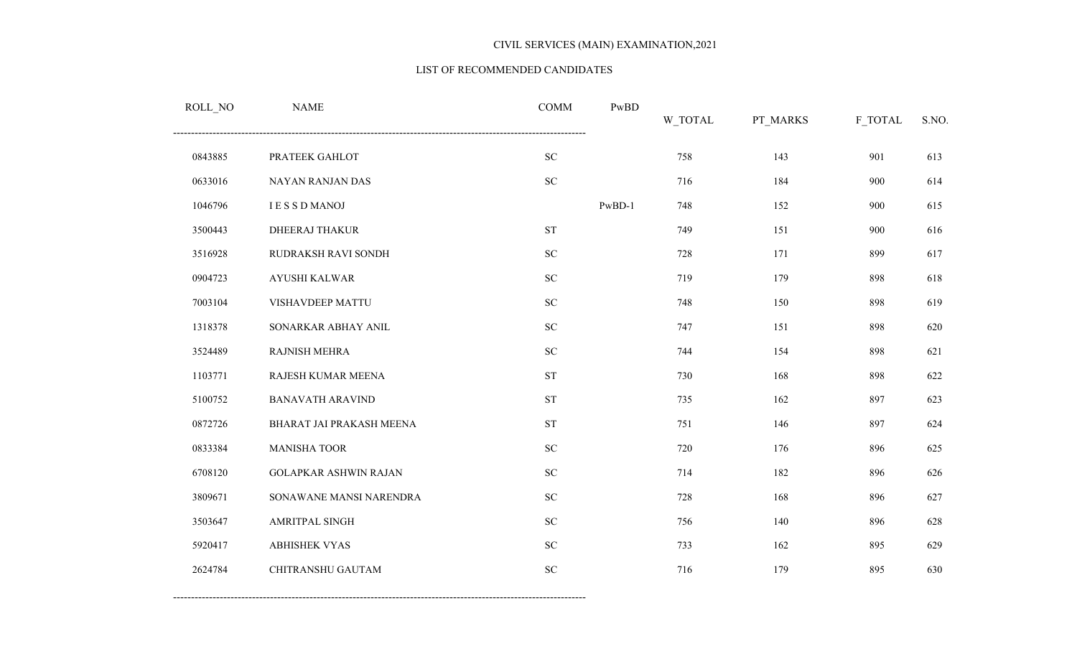#### LIST OF RECOMMENDED CANDIDATES

| ROLL_NO | <b>NAME</b>                  | <b>COMM</b>        | PwBD   | W_TOTAL | PT_MARKS | F_TOTAL | S.NO. |
|---------|------------------------------|--------------------|--------|---------|----------|---------|-------|
| 0843885 | PRATEEK GAHLOT               | ${\rm SC}$         |        | 758     | 143      | 901     | 613   |
| 0633016 | NAYAN RANJAN DAS             | ${\rm SC}$         |        | 716     | 184      | 900     | 614   |
| 1046796 | <b>IESSDMANOJ</b>            |                    | PwBD-1 | 748     | 152      | 900     | 615   |
| 3500443 | <b>DHEERAJ THAKUR</b>        | <b>ST</b>          |        | 749     | 151      | 900     | 616   |
| 3516928 | RUDRAKSH RAVI SONDH          | ${\bf SC}$         |        | 728     | 171      | 899     | 617   |
| 0904723 | AYUSHI KALWAR                | ${\bf SC}$         |        | 719     | 179      | 898     | 618   |
| 7003104 | VISHAVDEEP MATTU             | ${\rm SC}$         |        | 748     | 150      | 898     | 619   |
| 1318378 | SONARKAR ABHAY ANIL          | ${\rm SC}$         |        | 747     | 151      | 898     | 620   |
| 3524489 | <b>RAJNISH MEHRA</b>         | ${\rm SC}$         |        | 744     | 154      | 898     | 621   |
| 1103771 | RAJESH KUMAR MEENA           | ${\cal S}{\cal T}$ |        | 730     | 168      | 898     | 622   |
| 5100752 | <b>BANAVATH ARAVIND</b>      | ${\cal S}{\cal T}$ |        | 735     | 162      | 897     | 623   |
| 0872726 | BHARAT JAI PRAKASH MEENA     | <b>ST</b>          |        | 751     | 146      | 897     | 624   |
| 0833384 | <b>MANISHA TOOR</b>          | ${\rm SC}$         |        | 720     | 176      | 896     | 625   |
| 6708120 | <b>GOLAPKAR ASHWIN RAJAN</b> | ${\rm SC}$         |        | 714     | 182      | 896     | 626   |
| 3809671 | SONAWANE MANSI NARENDRA      | ${\rm SC}$         |        | 728     | 168      | 896     | 627   |
| 3503647 | AMRITPAL SINGH               | ${\bf SC}$         |        | 756     | 140      | 896     | 628   |
| 5920417 | <b>ABHISHEK VYAS</b>         | ${\rm SC}$         |        | 733     | 162      | 895     | 629   |
| 2624784 | CHITRANSHU GAUTAM            | ${\rm SC}$         |        | 716     | 179      | 895     | 630   |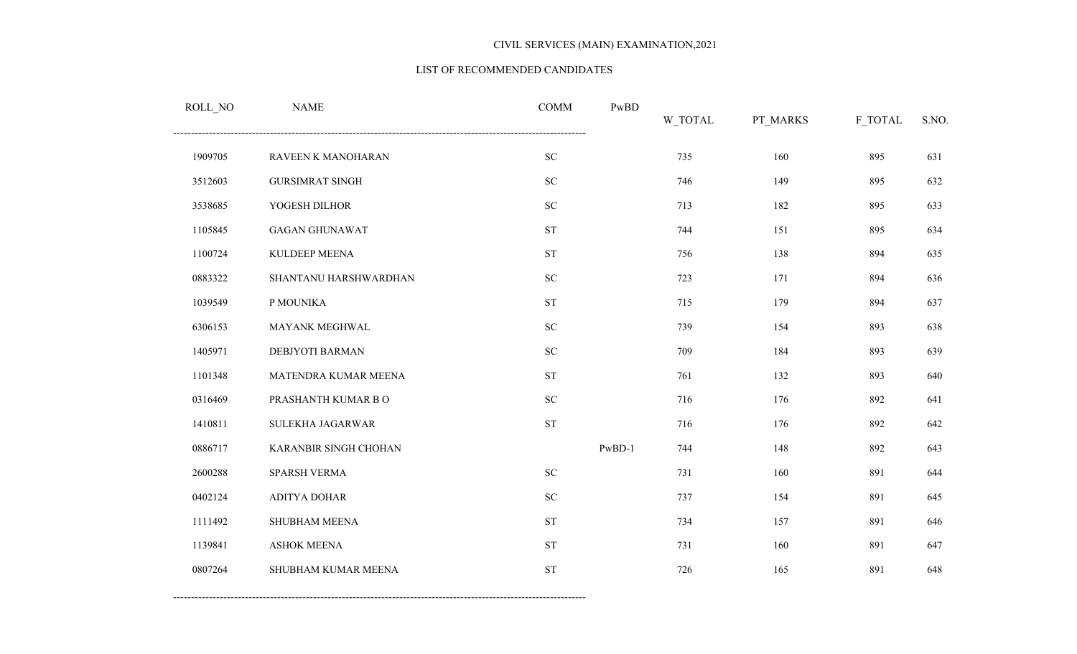#### LIST OF RECOMMENDED CANDIDATES

| ROLL_NO | <b>NAME</b>            | <b>COMM</b>        | PwBD     | W_TOTAL | PT_MARKS | F_TOTAL | S.NO. |
|---------|------------------------|--------------------|----------|---------|----------|---------|-------|
| 1909705 | RAVEEN K MANOHARAN     | ${\rm SC}$         |          | 735     | 160      | 895     | 631   |
| 3512603 | <b>GURSIMRAT SINGH</b> | ${\rm SC}$         |          | 746     | 149      | 895     | 632   |
| 3538685 | YOGESH DILHOR          | ${\rm SC}$         |          | 713     | 182      | 895     | 633   |
| 1105845 | <b>GAGAN GHUNAWAT</b>  | ${\cal S}{\cal T}$ |          | 744     | 151      | 895     | 634   |
| 1100724 | KULDEEP MEENA          | <b>ST</b>          |          | 756     | 138      | 894     | 635   |
| 0883322 | SHANTANU HARSHWARDHAN  | ${\rm SC}$         |          | 723     | 171      | 894     | 636   |
| 1039549 | P MOUNIKA              | ${\cal S}{\cal T}$ |          | 715     | 179      | 894     | 637   |
| 6306153 | MAYANK MEGHWAL         | ${\rm SC}$         |          | 739     | 154      | 893     | 638   |
| 1405971 | DEBJYOTI BARMAN        | ${\rm SC}$         |          | 709     | 184      | 893     | 639   |
| 1101348 | MATENDRA KUMAR MEENA   | ST                 |          | 761     | 132      | 893     | 640   |
| 0316469 | PRASHANTH KUMAR BO     | ${\rm SC}$         |          | 716     | 176      | 892     | 641   |
| 1410811 | SULEKHA JAGARWAR       | <b>ST</b>          |          | 716     | 176      | 892     | 642   |
| 0886717 | KARANBIR SINGH CHOHAN  |                    | $PwBD-1$ | 744     | 148      | 892     | 643   |
| 2600288 | SPARSH VERMA           | ${\rm SC}$         |          | 731     | 160      | 891     | 644   |
| 0402124 | <b>ADITYA DOHAR</b>    | ${\rm SC}$         |          | 737     | 154      | 891     | 645   |
| 1111492 | SHUBHAM MEENA          | ${\rm ST}$         |          | 734     | 157      | 891     | 646   |
| 1139841 | <b>ASHOK MEENA</b>     | <b>ST</b>          |          | 731     | 160      | 891     | 647   |
| 0807264 | SHUBHAM KUMAR MEENA    | <b>ST</b>          |          | 726     | 165      | 891     | 648   |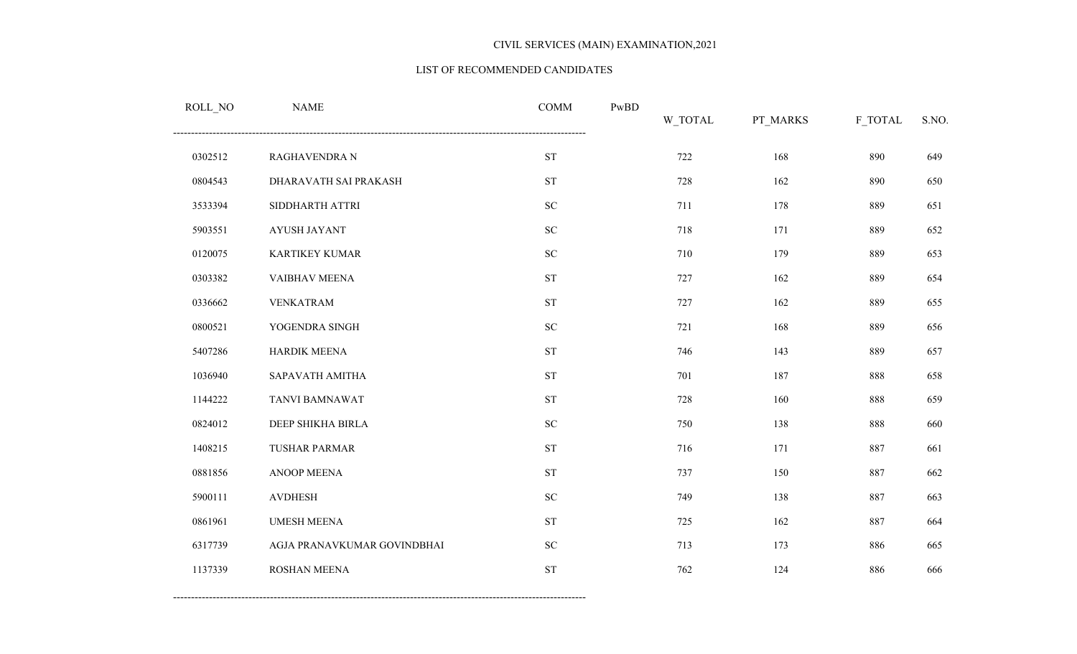#### LIST OF RECOMMENDED CANDIDATES

| $\textsc{ROLL}\_\textsc{NO}$ | <b>NAME</b>                 | <b>COMM</b>        | PwBD | W_TOTAL | PT_MARKS | F_TOTAL | S.NO. |
|------------------------------|-----------------------------|--------------------|------|---------|----------|---------|-------|
| 0302512                      | RAGHAVENDRA N               | <b>ST</b>          |      | 722     | 168      | 890     | 649   |
| 0804543                      | DHARAVATH SAI PRAKASH       | ${\cal S}{\cal T}$ |      | 728     | 162      | 890     | 650   |
| 3533394                      | SIDDHARTH ATTRI             | ${\rm SC}$         |      | 711     | 178      | 889     | 651   |
| 5903551                      | AYUSH JAYANT                | <b>SC</b>          |      | 718     | 171      | 889     | 652   |
| 0120075                      | <b>KARTIKEY KUMAR</b>       | ${\rm SC}$         |      | 710     | 179      | 889     | 653   |
| 0303382                      | VAIBHAV MEENA               | ${\cal S}{\cal T}$ |      | 727     | 162      | 889     | 654   |
| 0336662                      | <b>VENKATRAM</b>            | ${\cal S}{\cal T}$ |      | 727     | 162      | 889     | 655   |
| 0800521                      | YOGENDRA SINGH              | ${\rm SC}$         |      | 721     | 168      | 889     | 656   |
| 5407286                      | HARDIK MEENA                | ${\cal S}{\cal T}$ |      | 746     | 143      | 889     | 657   |
| 1036940                      | SAPAVATH AMITHA             | <b>ST</b>          |      | 701     | 187      | 888     | 658   |
| 1144222                      | TANVI BAMNAWAT              | <b>ST</b>          |      | 728     | 160      | 888     | 659   |
| 0824012                      | DEEP SHIKHA BIRLA           | ${\rm SC}$         |      | 750     | 138      | 888     | 660   |
| 1408215                      | <b>TUSHAR PARMAR</b>        | <b>ST</b>          |      | 716     | 171      | 887     | 661   |
| 0881856                      | ANOOP MEENA                 | <b>ST</b>          |      | 737     | 150      | 887     | 662   |
| 5900111                      | <b>AVDHESH</b>              | ${\rm SC}$         |      | 749     | 138      | 887     | 663   |
| 0861961                      | <b>UMESH MEENA</b>          | ${\cal S}{\cal T}$ |      | 725     | 162      | 887     | 664   |
| 6317739                      | AGJA PRANAVKUMAR GOVINDBHAI | ${\rm SC}$         |      | 713     | 173      | 886     | 665   |
| 1137339                      | ROSHAN MEENA                | <b>ST</b>          |      | 762     | 124      | 886     | 666   |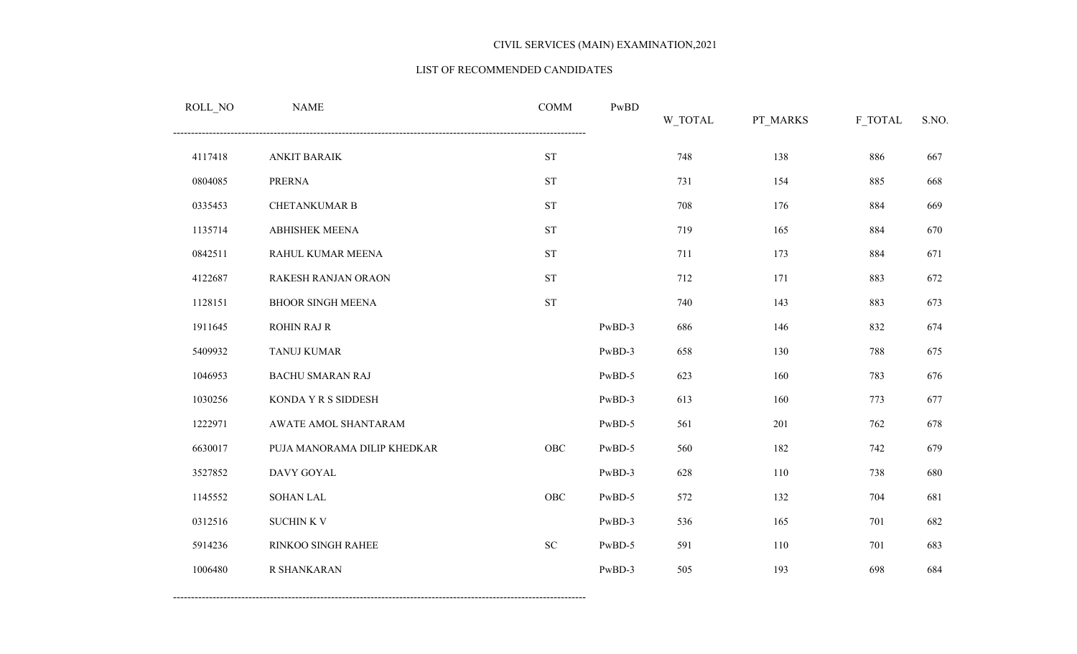#### LIST OF RECOMMENDED CANDIDATES

| ROLL_NO | <b>NAME</b>                 | <b>COMM</b> | PwBD   | W_TOTAL | PT_MARKS | F_TOTAL | S.NO. |
|---------|-----------------------------|-------------|--------|---------|----------|---------|-------|
| 4117418 | <b>ANKIT BARAIK</b>         | <b>ST</b>   |        | 748     | 138      | 886     | 667   |
| 0804085 | <b>PRERNA</b>               | <b>ST</b>   |        | 731     | 154      | 885     | 668   |
| 0335453 | <b>CHETANKUMAR B</b>        | <b>ST</b>   |        | 708     | 176      | 884     | 669   |
| 1135714 | ABHISHEK MEENA              | <b>ST</b>   |        | 719     | 165      | 884     | 670   |
| 0842511 | RAHUL KUMAR MEENA           | <b>ST</b>   |        | 711     | 173      | 884     | 671   |
| 4122687 | RAKESH RANJAN ORAON         | <b>ST</b>   |        | 712     | 171      | 883     | 672   |
| 1128151 | <b>BHOOR SINGH MEENA</b>    | <b>ST</b>   |        | 740     | 143      | 883     | 673   |
| 1911645 | <b>ROHIN RAJ R</b>          |             | PwBD-3 | 686     | 146      | 832     | 674   |
| 5409932 | TANUJ KUMAR                 |             | PwBD-3 | 658     | 130      | 788     | 675   |
| 1046953 | <b>BACHU SMARAN RAJ</b>     |             | PwBD-5 | 623     | 160      | 783     | 676   |
| 1030256 | KONDA Y R S SIDDESH         |             | PwBD-3 | 613     | 160      | 773     | 677   |
| 1222971 | AWATE AMOL SHANTARAM        |             | PwBD-5 | 561     | 201      | 762     | 678   |
| 6630017 | PUJA MANORAMA DILIP KHEDKAR | OBC         | PwBD-5 | 560     | 182      | 742     | 679   |
| 3527852 | DAVY GOYAL                  |             | PwBD-3 | 628     | 110      | 738     | 680   |
| 1145552 | <b>SOHAN LAL</b>            | OBC         | PwBD-5 | 572     | 132      | 704     | 681   |
| 0312516 | <b>SUCHINK V</b>            |             | PwBD-3 | 536     | 165      | 701     | 682   |
| 5914236 | RINKOO SINGH RAHEE          | ${\rm SC}$  | PwBD-5 | 591     | 110      | 701     | 683   |
| 1006480 | R SHANKARAN                 |             | PwBD-3 | 505     | 193      | 698     | 684   |